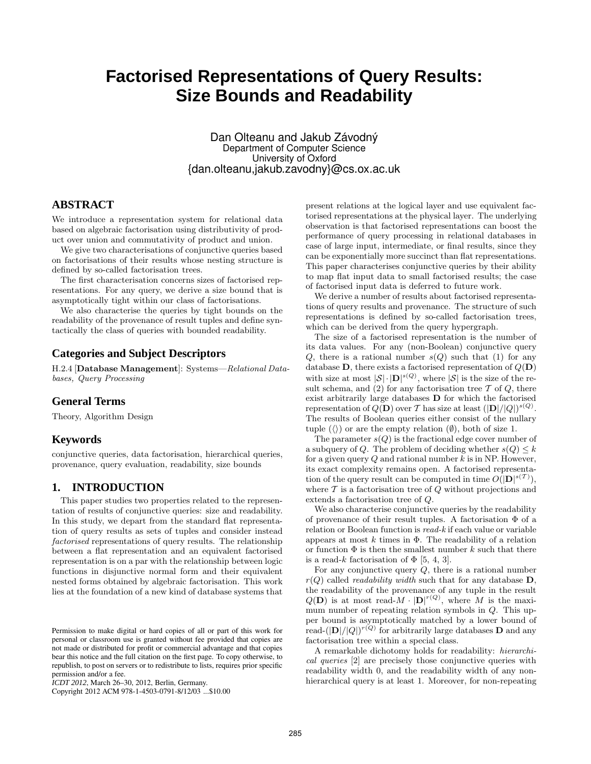# **Factorised Representations of Query Results: Size Bounds and Readability**

Dan Olteanu and Jakub Závodný Department of Computer Science University of Oxford {dan.olteanu,jakub.zavodny}@cs.ox.ac.uk

## **ABSTRACT**

We introduce a representation system for relational data based on algebraic factorisation using distributivity of product over union and commutativity of product and union.

We give two characterisations of conjunctive queries based on factorisations of their results whose nesting structure is defined by so-called factorisation trees.

The first characterisation concerns sizes of factorised representations. For any query, we derive a size bound that is asymptotically tight within our class of factorisations.

We also characterise the queries by tight bounds on the readability of the provenance of result tuples and define syntactically the class of queries with bounded readability.

## **Categories and Subject Descriptors**

H.2.4 [Database Management]: Systems—Relational Databases, Query Processing

## **General Terms**

Theory, Algorithm Design

## **Keywords**

conjunctive queries, data factorisation, hierarchical queries, provenance, query evaluation, readability, size bounds

# **1. INTRODUCTION**

This paper studies two properties related to the representation of results of conjunctive queries: size and readability. In this study, we depart from the standard flat representation of query results as sets of tuples and consider instead factorised representations of query results. The relationship between a flat representation and an equivalent factorised representation is on a par with the relationship between logic functions in disjunctive normal form and their equivalent nested forms obtained by algebraic factorisation. This work lies at the foundation of a new kind of database systems that

Copyright 2012 ACM 978-1-4503-0791-8/12/03 ...\$10.00

present relations at the logical layer and use equivalent factorised representations at the physical layer. The underlying observation is that factorised representations can boost the performance of query processing in relational databases in case of large input, intermediate, or final results, since they can be exponentially more succinct than flat representations. This paper characterises conjunctive queries by their ability to map flat input data to small factorised results; the case of factorised input data is deferred to future work.

We derive a number of results about factorised representations of query results and provenance. The structure of such representations is defined by so-called factorisation trees, which can be derived from the query hypergraph.

The size of a factorised representation is the number of its data values. For any (non-Boolean) conjunctive query Q, there is a rational number  $s(Q)$  such that (1) for any database **D**, there exists a factorised representation of  $Q(\mathbf{D})$ with size at most  $|\mathcal{S}| \cdot |D|^{s(Q)}$ , where  $|\mathcal{S}|$  is the size of the result schema, and (2) for any factorisation tree  $\mathcal T$  of  $Q$ , there exist arbitrarily large databases D for which the factorised representation of  $Q(\mathbf{D})$  over T has size at least  $(|\mathbf{D}|/|Q|)^{s(Q)}$ . The results of Boolean queries either consist of the nullary tuple  $(\langle \rangle)$  or are the empty relation  $(\emptyset)$ , both of size 1.

The parameter  $s(Q)$  is the fractional edge cover number of a subquery of Q. The problem of deciding whether  $s(Q) \leq k$ for a given query  $Q$  and rational number  $k$  is in NP. However, its exact complexity remains open. A factorised representation of the query result can be computed in time  $O(|\mathbf{D}|^{s(\mathcal{T})}),$ where  $\mathcal T$  is a factorisation tree of  $Q$  without projections and extends a factorisation tree of Q.

We also characterise conjunctive queries by the readability of provenance of their result tuples. A factorisation Φ of a relation or Boolean function is read-k if each value or variable appears at most  $k$  times in  $\Phi$ . The readability of a relation or function  $\Phi$  is then the smallest number k such that there is a read-k factorisation of  $\Phi$  [5, 4, 3].

For any conjunctive query  $Q$ , there is a rational number  $r(Q)$  called *readability width* such that for any database **D**, the readability of the provenance of any tuple in the result  $Q(\mathbf{D})$  is at most read- $M \cdot |D|^{r(Q)}$ , where M is the maximum number of repeating relation symbols in Q. This upper bound is asymptotically matched by a lower bound of read- $(|\mathbf{D}|/|Q|)^{r(Q)}$  for arbitrarily large databases **D** and any factorisation tree within a special class.

A remarkable dichotomy holds for readability: hierarchical queries [2] are precisely those conjunctive queries with readability width 0, and the readability width of any nonhierarchical query is at least 1. Moreover, for non-repeating

Permission to make digital or hard copies of all or part of this work for personal or classroom use is granted without fee provided that copies are not made or distributed for profit or commercial advantage and that copies bear this notice and the full citation on the first page. To copy otherwise, to republish, to post on servers or to redistribute to lists, requires prior specific permission and/or a fee.

*ICDT 2012*, March 26–30, 2012, Berlin, Germany.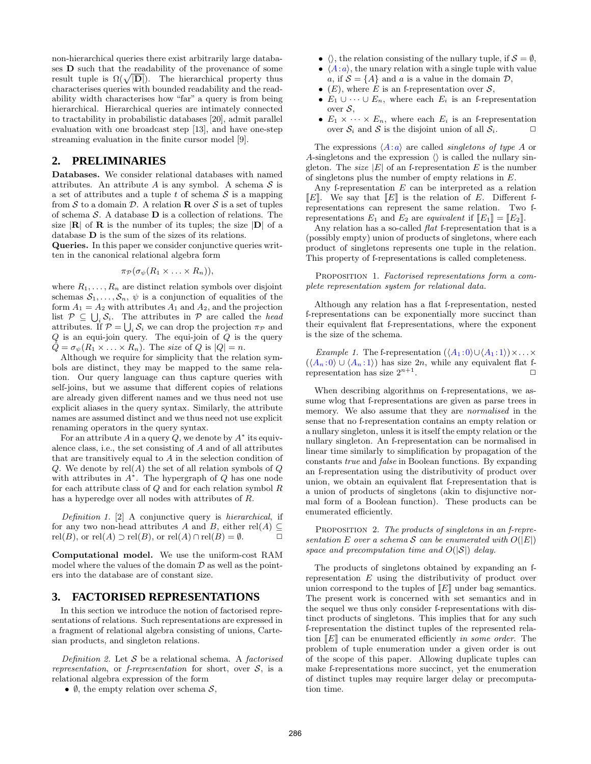non-hierarchical queries there exist arbitrarily large databases D such that the readability of the provenance of some result tuple is  $\Omega(\sqrt{|\mathbf{D}|})$ . The hierarchical property thus characterises queries with bounded readability and the readability width characterises how "far" a query is from being hierarchical. Hierarchical queries are intimately connected to tractability in probabilistic databases [20], admit parallel evaluation with one broadcast step [13], and have one-step streaming evaluation in the finite cursor model [9].

#### **2. PRELIMINARIES**

Databases. We consider relational databases with named attributes. An attribute A is any symbol. A schema  $S$  is a set of attributes and a tuple  $t$  of schema  $\mathcal S$  is a mapping from  $\mathcal S$  to a domain  $\mathcal D.$  A relation  ${\bf R}$  over  $\mathcal S$  is a set of tuples of schema  $\mathcal S.$  A database  $\mathbf D$  is a collection of relations. The size  $|\mathbf{R}|$  of  $\mathbf{R}$  is the number of its tuples; the size  $|\mathbf{D}|$  of a database D is the sum of the sizes of its relations.

Queries. In this paper we consider conjunctive queries written in the canonical relational algebra form

$$
\pi_{\mathcal{P}}(\sigma_{\psi}(R_1 \times \ldots \times R_n)),
$$

where  $R_1, \ldots, R_n$  are distinct relation symbols over disjoint schemas  $S_1, \ldots, S_n$ ,  $\psi$  is a conjunction of equalities of the form  $A_1 = A_2$  with attributes  $A_1$  and  $A_2$ , and the projection list  $P \subseteq \bigcup_i \mathcal{S}_i$ . The attributes in P are called the head attributes. If  $\mathcal{P} = \bigcup_i \mathcal{S}_i$  we can drop the projection  $\pi_{\mathcal{P}}$  and  $Q$  is an equi-join query. The equi-join of  $Q$  is the query  $\hat{Q} = \sigma_{\psi}(R_1 \times \ldots \times R_n)$ . The size of Q is  $|Q| = n$ .

Although we require for simplicity that the relation symbols are distinct, they may be mapped to the same relation. Our query language can thus capture queries with self-joins, but we assume that different copies of relations are already given different names and we thus need not use explicit aliases in the query syntax. Similarly, the attribute names are assumed distinct and we thus need not use explicit renaming operators in the query syntax.

For an attribute A in a query  $Q$ , we denote by  $A^*$  its equivalence class, i.e., the set consisting of A and of all attributes that are transitively equal to A in the selection condition of Q. We denote by  $rel(A)$  the set of all relation symbols of Q with attributes in  $A^*$ . The hypergraph of Q has one node for each attribute class of  $Q$  and for each relation symbol  $R$ has a hyperedge over all nodes with attributes of R.

Definition 1. [2] A conjunctive query is hierarchical, if for any two non-head attributes A and B, either rel(A)  $\subset$  $rel(B)$ , or  $rel(A) \supset rel(B)$ , or  $rel(A) \cap rel(B) = \emptyset$ .

Computational model. We use the uniform-cost RAM model where the values of the domain  $D$  as well as the pointers into the database are of constant size.

### **3. FACTORISED REPRESENTATIONS**

In this section we introduce the notion of factorised representations of relations. Such representations are expressed in a fragment of relational algebra consisting of unions, Cartesian products, and singleton relations.

Definition 2. Let  $S$  be a relational schema. A factorised representation, or f-representation for short, over  $S$ , is a relational algebra expression of the form

•  $\emptyset$ , the empty relation over schema  $S$ ,

- $\langle \rangle$ , the relation consisting of the nullary tuple, if  $S = \emptyset$ ,
- $\langle A:a \rangle$ , the unary relation with a single tuple with value a, if  $S = \{A\}$  and a is a value in the domain  $D$ ,
- (E), where E is an f-representation over  $S$ ,
- $E_1 \cup \cdots \cup E_n$ , where each  $E_i$  is an f-representation over  $S$ ,
- $E_1 \times \cdots \times E_n$ , where each  $E_i$  is an f-representation over  $S_i$  and S is the disjoint union of all  $S_i$ .

The expressions  $\langle A:a \rangle$  are called *singletons of type A* or A-singletons and the expression  $\langle \rangle$  is called the nullary singleton. The *size* |E| of an f-representation E is the number of singletons plus the number of empty relations in E.

Any f-representation  $E$  can be interpreted as a relation  $\llbracket E \rrbracket$ . We say that  $\llbracket E \rrbracket$  is the relation of E. Different frepresentations can represent the same relation. Two frepresentations  $E_1$  and  $E_2$  are equivalent if  $[[E_1]] = [[E_2]]$ .

Any relation has a so-called *flat* f-representation that is a (possibly empty) union of products of singletons, where each product of singletons represents one tuple in the relation. This property of f-representations is called completeness.

PROPOSITION 1. Factorised representations form a complete representation system for relational data.

Although any relation has a flat f-representation, nested f-representations can be exponentially more succinct than their equivalent flat f-representations, where the exponent is the size of the schema.

*Example 1.* The f-representation  $(\langle A_1 : 0 \rangle \cup \langle A_1 : 1 \rangle) \times ... \times$  $(\langle A_n:0\rangle\cup\langle A_n:1\rangle)$  has size 2n, while any equivalent flat frepresentation has size  $2^{n+1}$ . .  $\Box$ 

When describing algorithms on f-representations, we assume wlog that f-representations are given as parse trees in memory. We also assume that they are normalised in the sense that no f-representation contains an empty relation or a nullary singleton, unless it is itself the empty relation or the nullary singleton. An f-representation can be normalised in linear time similarly to simplification by propagation of the constants true and false in Boolean functions. By expanding an f-representation using the distributivity of product over union, we obtain an equivalent flat f-representation that is a union of products of singletons (akin to disjunctive normal form of a Boolean function). These products can be enumerated efficiently.

PROPOSITION 2. The products of singletons in an f-representation E over a schema S can be enumerated with  $O(|E|)$ space and precomputation time and  $O(|\mathcal{S}|)$  delay.

The products of singletons obtained by expanding an frepresentation E using the distributivity of product over union correspond to the tuples of  $\llbracket E \rrbracket$  under bag semantics. The present work is concerned with set semantics and in the sequel we thus only consider f-representations with distinct products of singletons. This implies that for any such f-representation the distinct tuples of the represented relation  $\llbracket E \rrbracket$  can be enumerated efficiently in some order. The problem of tuple enumeration under a given order is out of the scope of this paper. Allowing duplicate tuples can make f-representations more succinct, yet the enumeration of distinct tuples may require larger delay or precomputation time.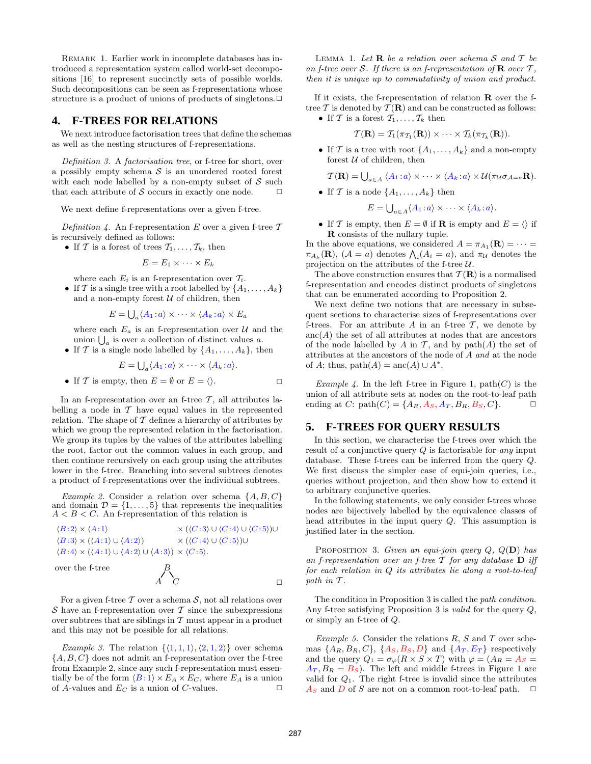Remark 1. Earlier work in incomplete databases has introduced a representation system called world-set decompositions [16] to represent succinctly sets of possible worlds. Such decompositions can be seen as f-representations whose structure is a product of unions of products of singletons. $\Box$ 

### **4. F-TREES FOR RELATIONS**

We next introduce factorisation trees that define the schemas as well as the nesting structures of f-representations.

Definition 3. A factorisation tree, or f-tree for short, over a possibly empty schema  $\mathcal S$  is an unordered rooted forest with each node labelled by a non-empty subset of  $S$  such that each attribute of  $S$  occurs in exactly one node.  $\Box$ 

We next define f-representations over a given f-tree.

Definition 4. An f-representation E over a given f-tree  $\mathcal T$ is recursively defined as follows:

• If T is a forest of trees  $\mathcal{T}_1, \ldots, \mathcal{T}_k$ , then

$$
E=E_1\times\cdots\times E_k
$$

where each  $E_i$  is an f-representation over  $\mathcal{T}_i$ .

• If T is a single tree with a root labelled by  $\{A_1, \ldots, A_k\}$ and a non-empty forest  $U$  of children, then

$$
E = \bigcup_{a} \langle A_1 : a \rangle \times \cdots \times \langle A_k : a \rangle \times E_a
$$

where each  $E_a$  is an f-representation over  $\mathcal U$  and the union  $\bigcup_a$  is over a collection of distinct values a.

• If T is a single node labelled by  $\{A_1, \ldots, A_k\}$ , then

$$
E = \bigcup_{a} \langle A_1 : a \rangle \times \cdots \times \langle A_k : a \rangle.
$$

• If T is empty, then  $E = \emptyset$  or  $E = \langle \rangle$ .

In an f-representation over an f-tree  $\mathcal{T}$ , all attributes labelling a node in  $T$  have equal values in the represented relation. The shape of  $T$  defines a hierarchy of attributes by which we group the represented relation in the factorisation. We group its tuples by the values of the attributes labelling the root, factor out the common values in each group, and then continue recursively on each group using the attributes lower in the f-tree. Branching into several subtrees denotes a product of f-representations over the individual subtrees.

Example 2. Consider a relation over schema  $\{A, B, C\}$ and domain  $\mathcal{D} = \{1, \ldots, 5\}$  that represents the inequalities  $A < B < C$ . An f-representation of this relation is

$$
\langle B:2 \rangle \times \langle A:1 \rangle \times (\langle C:3 \rangle \cup \langle C:4 \rangle \cup \langle C:5 \rangle) \cup \langle B:3 \rangle \times (\langle A:1 \rangle \cup \langle A:2 \rangle) \times (\langle C:4 \rangle \cup \langle C:5 \rangle) \cup \langle B:4 \rangle \times (\langle A:1 \rangle \cup \langle A:2 \rangle \cup \langle A:3 \rangle) \times \langle C:5 \rangle.
$$
  
over the f-tree  

$$
A \qquad C
$$

For a given f-tree  $\mathcal T$  over a schema  $\mathcal S$ , not all relations over S have an f-representation over  $\mathcal T$  since the subexpressions over subtrees that are siblings in  $T$  must appear in a product and this may not be possible for all relations.

*Example 3.* The relation  $\{\langle 1, 1, 1 \rangle, \langle 2, 1, 2 \rangle\}$  over schema  $\{A, B, C\}$  does not admit an f-representation over the f-tree from Example 2, since any such f-representation must essentially be of the form  $\langle B : 1 \rangle \times E_A \times E_C$ , where  $E_A$  is a union of A-values and  $E_C$  is a union of C-values.  $\Box$ 

LEMMA 1. Let  $\bf{R}$  be a relation over schema  $\cal{S}$  and  $\cal{T}$  be an f-tree over S. If there is an f-representation of  $\bf R$  over  $\bf T$ , then it is unique up to commutativity of union and product.

If it exists, the f-representation of relation R over the ftree  $T$  is denoted by  $T(\mathbf{R})$  and can be constructed as follows:

• If T is a forest  $T_1, \ldots, T_k$  then

$$
\mathcal{T}(\mathbf{R}) = \mathcal{T}_1(\pi_{\mathcal{T}_1}(\mathbf{R})) \times \cdots \times \mathcal{T}_k(\pi_{\mathcal{T}_k}(\mathbf{R})).
$$

• If T is a tree with root  $\{A_1, \ldots, A_k\}$  and a non-empty forest  $U$  of children, then

$$
\mathcal{T}(\mathbf{R}) = \bigcup_{a \in A} \langle A_1 : a \rangle \times \cdots \times \langle A_k : a \rangle \times \mathcal{U}(\pi_{\mathcal{U}} \sigma_{\mathcal{A}=a} \mathbf{R}).
$$

• If T is a node  $\{A_1, \ldots, A_k\}$  then

$$
E = \bigcup_{a \in A} \langle A_1 : a \rangle \times \cdots \times \langle A_k : a \rangle.
$$

• If T is empty, then  $E = \emptyset$  if **R** is empty and  $E = \langle \rangle$  if R consists of the nullary tuple.

In the above equations, we considered  $A = \pi_{A_1}(\mathbf{R}) = \cdots =$  $\pi_{A_k}(\mathbf{R})$ ,  $(\mathcal{A} = a)$  denotes  $\Lambda_i(A_i = a)$ , and  $\pi_{\mathcal{U}}$  denotes the projection on the attributes of the f-tree  $U$ .

The above construction ensures that  $\mathcal{T}(\mathbf{R})$  is a normalised f-representation and encodes distinct products of singletons that can be enumerated according to Proposition 2.

We next define two notions that are necessary in subsequent sections to characterise sizes of f-representations over f-trees. For an attribute  $A$  in an f-tree  $T$ , we denote by  $anc(A)$  the set of all attributes at nodes that are ancestors of the node labelled by A in T, and by  $path(A)$  the set of attributes at the ancestors of the node of A and at the node of A; thus,  $path(A) = \text{anc}(A) \cup A^*$ .

Example 4. In the left f-tree in Figure 1,  $path(C)$  is the union of all attribute sets at nodes on the root-to-leaf path ending at C: path $(C) = \{A_R, A_S, A_T, B_R, B_S, C\}.$ 

#### **5. F-TREES FOR QUERY RESULTS**

In this section, we characterise the f-trees over which the result of a conjunctive query  $Q$  is factorisable for *any* input database. These f-trees can be inferred from the query Q. We first discuss the simpler case of equi-join queries, i.e., queries without projection, and then show how to extend it to arbitrary conjunctive queries.

In the following statements, we only consider f-trees whose nodes are bijectively labelled by the equivalence classes of head attributes in the input query Q. This assumption is justified later in the section.

PROPOSITION 3. Given an equi-join query  $Q, Q(\mathbf{D})$  has an f-representation over an f-tree  $\mathcal T$  for any database  $\mathbf D$  iff for each relation in Q its attributes lie along a root-to-leaf path in T .

The condition in Proposition 3 is called the path condition. Any f-tree satisfying Proposition 3 is valid for the query Q, or simply an f-tree of Q.

Example 5. Consider the relations  $R$ ,  $S$  and  $T$  over schemas  $\{A_R, B_R, C\}$ ,  $\{A_S, B_S, D\}$  and  $\{A_T, E_T\}$  respectively and the query  $Q_1 = \sigma_{\varphi}(R \times S \times T)$  with  $\varphi = (A_R = A_S =$  $A_T, B_R = B_S$ . The left and middle f-trees in Figure 1 are valid for  $Q_1$ . The right f-tree is invalid since the attributes  $A_S$  and D of S are not on a common root-to-leaf path.  $\Box$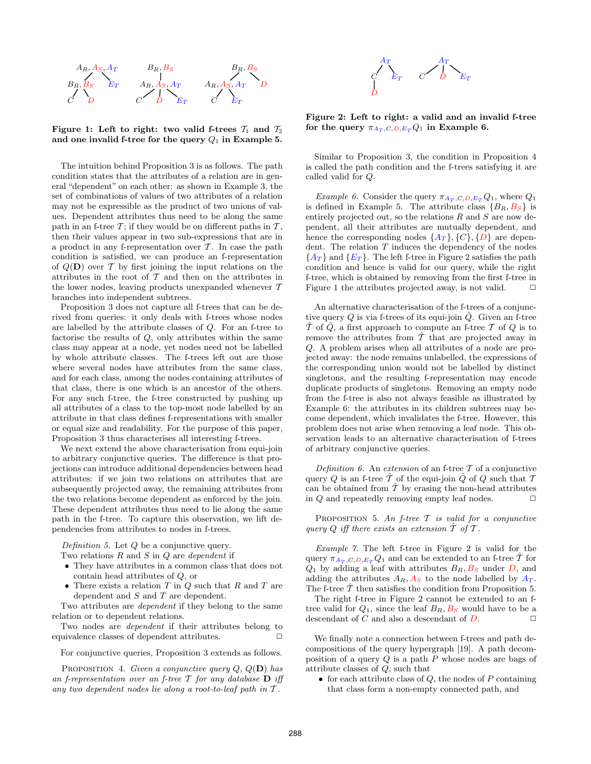

Figure 1: Left to right: two valid f-trees  $T_1$  and  $T_2$ and one invalid f-tree for the query  $Q_1$  in Example 5.

The intuition behind Proposition 3 is as follows. The path condition states that the attributes of a relation are in general "dependent" on each other: as shown in Example 3, the set of combinations of values of two attributes of a relation may not be expressible as the product of two unions of values. Dependent attributes thus need to be along the same path in an f-tree  $\mathcal{T}$ ; if they would be on different paths in  $\mathcal{T}$ , then their values appear in two sub-expressions that are in a product in any f-representation over  $\mathcal T$ . In case the path condition is satisfied, we can produce an f-representation of  $Q(D)$  over T by first joining the input relations on the attributes in the root of  $\mathcal T$  and then on the attributes in the lower nodes, leaving products unexpanded whenever  $T$ branches into independent subtrees.

Proposition 3 does not capture all f-trees that can be derived from queries: it only deals with f-trees whose nodes are labelled by the attribute classes of Q. For an f-tree to factorise the results of Q, only attributes within the same class may appear at a node, yet nodes need not be labelled by whole attribute classes. The f-trees left out are those where several nodes have attributes from the same class, and for each class, among the nodes containing attributes of that class, there is one which is an ancestor of the others. For any such f-tree, the f-tree constructed by pushing up all attributes of a class to the top-most node labelled by an attribute in that class defines f-representations with smaller or equal size and readability. For the purpose of this paper, Proposition 3 thus characterises all interesting f-trees.

We next extend the above characterisation from equi-join to arbitrary conjunctive queries. The difference is that projections can introduce additional dependencies between head attributes: if we join two relations on attributes that are subsequently projected away, the remaining attributes from the two relations become dependent as enforced by the join. These dependent attributes thus need to lie along the same path in the f-tree. To capture this observation, we lift dependencies from attributes to nodes in f-trees.

Definition 5. Let  $Q$  be a conjunctive query.

- Two relations  $R$  and  $S$  in  $Q$  are dependent if
- They have attributes in a common class that does not contain head attributes of Q, or
- There exists a relation  $T$  in  $Q$  such that  $R$  and  $T$  are dependent and  $S$  and  $T$  are dependent.

Two attributes are *dependent* if they belong to the same relation or to dependent relations.

Two nodes are dependent if their attributes belong to equivalence classes of dependent attributes.  $\Box$ 

For conjunctive queries, Proposition 3 extends as follows.

PROPOSITION 4. Given a conjunctive query  $Q, Q(\mathbf{D})$  has an f-representation over an f-tree  $T$  for any database  $D$  iff any two dependent nodes lie along a root-to-leaf path in  $\mathcal T$ .



Figure 2: Left to right: a valid and an invalid f-tree for the query  $\pi_{A_T, C, D, E_T} Q_1$  in Example 6.

Similar to Proposition 3, the condition in Proposition 4 is called the path condition and the f-trees satisfying it are called valid for Q.

Example 6. Consider the query  $\pi_{A_T, C, D, E_T} Q_1$ , where  $Q_1$ is defined in Example 5. The attribute class  ${B_R, B_S}$  is entirely projected out, so the relations  $R$  and  $S$  are now dependent, all their attributes are mutually dependent, and hence the corresponding nodes  $\{A_T\}, \{C\}, \{D\}$  are dependent. The relation  $T$  induces the dependency of the nodes  ${A_T}$  and  ${E_T}$ . The left f-tree in Figure 2 satisfies the path condition and hence is valid for our query, while the right f-tree, which is obtained by removing from the first f-tree in Figure 1 the attributes projected away, is not valid.  $\Box$ 

An alternative characterisation of the f-trees of a conjunctive query  $Q$  is via f-trees of its equi-join  $Q$ . Given an f-tree  $\mathcal T$  of  $Q$ , a first approach to compute an f-tree  $\mathcal T$  of  $Q$  is to remove the attributes from  $T$  that are projected away in Q. A problem arises when all attributes of a node are projected away: the node remains unlabelled, the expressions of the corresponding union would not be labelled by distinct singletons, and the resulting f-representation may encode duplicate products of singletons. Removing an empty node from the f-tree is also not always feasible as illustrated by Example 6: the attributes in its children subtrees may become dependent, which invalidates the f-tree. However, this problem does not arise when removing a leaf node. This observation leads to an alternative characterisation of f-trees of arbitrary conjunctive queries.

Definition 6. An extension of an f-tree  $\mathcal T$  of a conjunctive query Q is an f-tree  $\hat{\mathcal{T}}$  of the equi-join  $\hat{Q}$  of Q such that  $\hat{\mathcal{T}}$ can be obtained from  $\hat{T}$  by erasing the non-head attributes in  $Q$  and repeatedly removing empty leaf nodes.  $\Box$ 

PROPOSITION 5. An f-tree  $T$  is valid for a conjunctive query Q iff there exists an extension  $\hat{\mathcal{T}}$  of  $\mathcal{T}$ .

Example 7. The left f-tree in Figure 2 is valid for the query  $\pi_{A_T, C, D, E_T} Q_1$  and can be extended to an f-tree T for  $Q_1$  by adding a leaf with attributes  $B_R$ ,  $B_S$  under D, and adding the attributes  $A_R$ ,  $A_S$  to the node labelled by  $A_T$ . The f-tree  $\hat{\mathcal{T}}$  then satisfies the condition from Proposition 5.

The right f-tree in Figure 2 cannot be extended to an ftree valid for  $Q_1$ , since the leaf  $B_R, B_S$  would have to be a descendant of C and also a descendant of  $D$ .  $\Box$ 

We finally note a connection between f-trees and path decompositions of the query hypergraph [19]. A path decomposition of a query  $Q$  is a path  $P$  whose nodes are bags of attribute classes of Q, such that

• for each attribute class of  $Q$ , the nodes of  $P$  containing that class form a non-empty connected path, and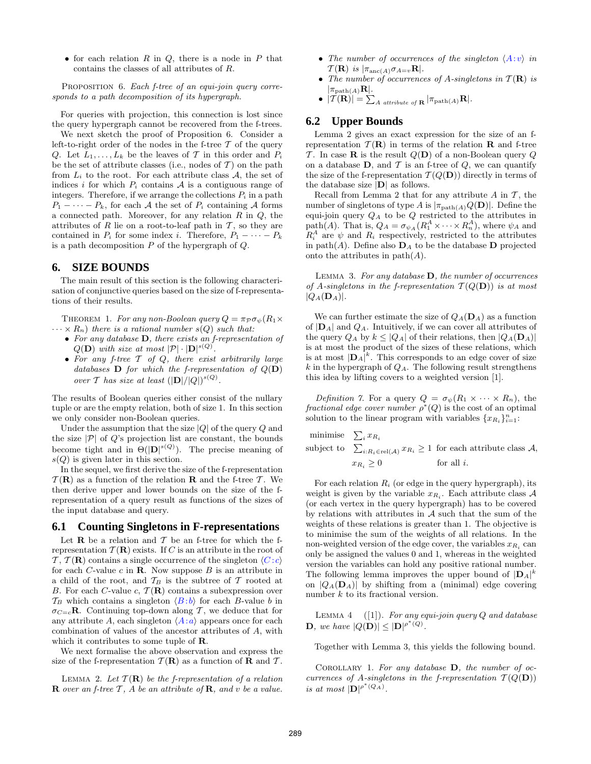• for each relation  $R$  in  $Q$ , there is a node in  $P$  that contains the classes of all attributes of R.

PROPOSITION 6. Each f-tree of an equi-join query corresponds to a path decomposition of its hypergraph.

For queries with projection, this connection is lost since the query hypergraph cannot be recovered from the f-trees.

We next sketch the proof of Proposition 6. Consider a left-to-right order of the nodes in the f-tree  $T$  of the query Q. Let  $L_1, \ldots, L_k$  be the leaves of T in this order and  $P_i$ be the set of attribute classes (i.e., nodes of  $\mathcal T$ ) on the path from  $L_i$  to the root. For each attribute class  $A$ , the set of indices i for which  $P_i$  contains  $A$  is a contiguous range of integers. Therefore, if we arrange the collections  $P_i$  in a path  $P_1 - \cdots - P_k$ , for each A the set of  $P_i$  containing A forms a connected path. Moreover, for any relation  $R$  in  $Q$ , the attributes of  $R$  lie on a root-to-leaf path in  $T$ , so they are contained in  $P_i$  for some index i. Therefore,  $P_1 - \cdots - P_k$ is a path decomposition  $P$  of the hypergraph of  $Q$ .

#### **6. SIZE BOUNDS**

The main result of this section is the following characterisation of conjunctive queries based on the size of f-representations of their results.

THEOREM 1. For any non-Boolean query  $Q = \pi_P \sigma_{\psi}(R_1 \times$  $\cdots \times R_n$ ) there is a rational number  $s(Q)$  such that:

- For any database D, there exists an f-representation of  $Q(\mathbf{D})$  with size at most  $|\mathcal{P}|\cdot|\mathbf{D}|^{s(Q)}$ .
- For any f-tree  $T$  of  $Q$ , there exist arbitrarily large databases **D** for which the f-representation of  $Q(\mathbf{D})$ over T has size at least  $(|\mathbf{D}|/|Q|)^{s(Q)}$ .

The results of Boolean queries either consist of the nullary tuple or are the empty relation, both of size 1. In this section we only consider non-Boolean queries.

Under the assumption that the size  $|Q|$  of the query  $Q$  and the size  $|\mathcal{P}|$  of  $Q$ 's projection list are constant, the bounds become tight and in  $\Theta(|\mathbf{D}|^{s(Q)})$ . The precise meaning of  $s(Q)$  is given later in this section.

In the sequel, we first derive the size of the f-representation  $\mathcal{T}(\mathbf{R})$  as a function of the relation **R** and the f-tree T. We then derive upper and lower bounds on the size of the frepresentation of a query result as functions of the sizes of the input database and query.

#### **6.1 Counting Singletons in F-representations**

Let **R** be a relation and  $\mathcal T$  be an f-tree for which the frepresentation  $\mathcal{T}(\mathbf{R})$  exists. If C is an attribute in the root of  $\mathcal{T}, \mathcal{T}(\mathbf{R})$  contains a single occurrence of the singleton  $\langle C : c \rangle$ for each C-value c in  $\bf{R}$ . Now suppose B is an attribute in a child of the root, and  $T_B$  is the subtree of T rooted at B. For each C-value c,  $\mathcal{T}(\mathbf{R})$  contains a subexpression over  $\mathcal{T}_B$  which contains a singleton  $\langle B : b \rangle$  for each B-value b in  $\sigma_{C=c}$ **R**. Continuing top-down along T, we deduce that for any attribute A, each singleton  $\langle A:a \rangle$  appears once for each combination of values of the ancestor attributes of A, with which it contributes to some tuple of R.

We next formalise the above observation and express the size of the f-representation  $\mathcal{T}(\mathbf{R})$  as a function of **R** and  $\mathcal{T}$ .

LEMMA 2. Let  $\mathcal{T}(\mathbf{R})$  be the f-representation of a relation **R** over an f-tree  $T$ , A be an attribute of **R**, and v be a value.

- The number of occurrences of the singleton  $\langle A: v \rangle$  in  $T(\mathbf{R})$  is  $|\pi_{\text{anc}(A)}\sigma_{A=v}\mathbf{R}|$ .
- The number of occurrences of A-singletons in  $T(\mathbf{R})$  is  $|\pi_{\text{path}(A)}\mathbf{R}|.$

 $\bullet$   $|\mathcal{T}(\mathbf{R})| = \sum_{A \text{ attribute of } \mathbf{R}} |\pi_{\text{path}(A)}\mathbf{R}|.$ 

#### **6.2 Upper Bounds**

Lemma 2 gives an exact expression for the size of an frepresentation  $\mathcal{T}(\mathbf{R})$  in terms of the relation **R** and f-tree T. In case **R** is the result  $Q(D)$  of a non-Boolean query Q on a database  $D$ , and  $T$  is an f-tree of  $Q$ , we can quantify the size of the f-representation  $\mathcal{T}(Q(\mathbf{D}))$  directly in terms of the database size  $|\mathbf{D}|$  as follows.

Recall from Lemma 2 that for any attribute  $A$  in  $\mathcal{T}$ , the number of singletons of type A is  $|\pi_{\text{path}(A)}Q(\mathbf{D})|$ . Define the equi-join query  $Q_A$  to be  $Q$  restricted to the attributes in path(*A*). That is,  $Q_A = \sigma_{\psi_A}(R_1^A \times \cdots \times R_n^A)$ , where  $\psi_A$  and  $R_i^A$  are  $\psi$  and  $R_i$  respectively, restricted to the attributes in path(A). Define also  $\mathbf{D}_A$  to be the database  $\mathbf{D}$  projected onto the attributes in  $path(A)$ .

LEMMA 3. For any database  $D$ , the number of occurrences of A-singletons in the f-representation  $\mathcal{T}(Q(\mathbf{D}))$  is at most  $|Q_A(\mathbf{D}_A)|.$ 

We can further estimate the size of  $Q_A(\mathbf{D}_A)$  as a function of  $|\mathbf{D}_A|$  and  $Q_A$ . Intuitively, if we can cover all attributes of the query  $Q_A$  by  $k \leq |Q_A|$  of their relations, then  $|Q_A(\mathbf{D}_A)|$ is at most the product of the sizes of these relations, which is at most  $|\mathbf{D}_A|^k$ . This corresponds to an edge cover of size  $k$  in the hypergraph of  $Q_A$ . The following result strengthens this idea by lifting covers to a weighted version [1].

Definition 7. For a query  $Q = \sigma_{\psi}(R_1 \times \cdots \times R_n)$ , the fractional edge cover number  $\rho^*(Q)$  is the cost of an optimal solution to the linear program with variables  $\{x_{R_i}\}_{i=1}^n$ :

minimise  $\sum_i x_{R_i}$ i subject to  $\sum_{i:R_i\in \text{rel}(\mathcal{A})} x_{R_i} \geq 1$  for each attribute class  $\mathcal{A}$ ,  $x_{R_i} \geq 0$  for all *i*.

For each relation  $R_i$  (or edge in the query hypergraph), its weight is given by the variable  $x_{R_i}$ . Each attribute class A (or each vertex in the query hypergraph) has to be covered by relations with attributes in  $A$  such that the sum of the weights of these relations is greater than 1. The objective is to minimise the sum of the weights of all relations. In the non-weighted version of the edge cover, the variables  $x_{R_i}$  can only be assigned the values 0 and 1, whereas in the weighted version the variables can hold any positive rational number. The following lemma improves the upper bound of  $|D_A|^k$ on  $|Q_A(\mathbf{D}_A)|$  by shifting from a (minimal) edge covering number  $k$  to its fractional version.

LEMMA 4 ([1]). For any equi-join query  $Q$  and database **D**, we have  $|Q(\mathbf{D})| \leq |\mathbf{D}|^{\rho^*(Q)}$ .

Together with Lemma 3, this yields the following bound.

COROLLARY 1. For any database  $D$ , the number of occurrences of A-singletons in the f-representation  $T(Q(D))$ is at most  $|\mathbf{D}|^{\rho^*(Q_A)}$ .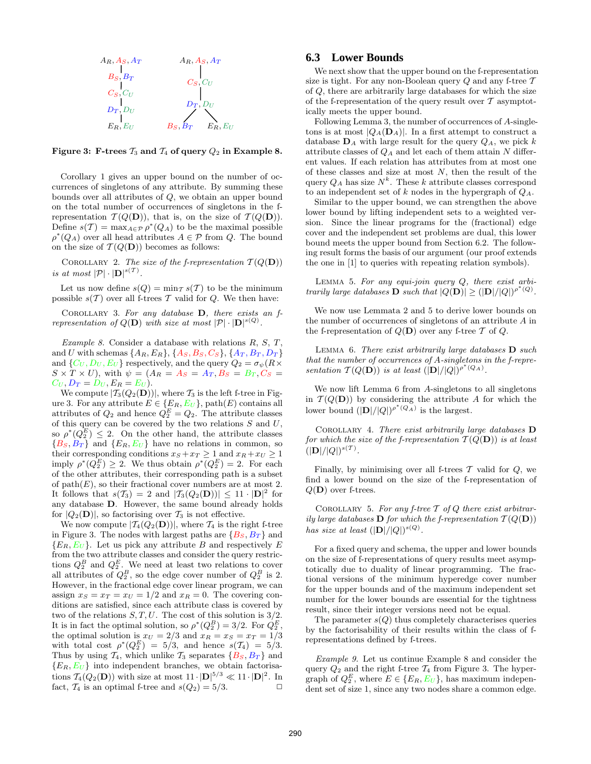

Figure 3: F-trees  $\mathcal{T}_3$  and  $\mathcal{T}_4$  of query  $\mathcal{Q}_2$  in Example 8.

Corollary 1 gives an upper bound on the number of occurrences of singletons of any attribute. By summing these bounds over all attributes of Q, we obtain an upper bound on the total number of occurrences of singletons in the frepresentation  $\mathcal{T}(Q(\mathbf{D}))$ , that is, on the size of  $\mathcal{T}(Q(\mathbf{D}))$ . Define  $s(\mathcal{T}) = \max_{A \in \mathcal{P}} \rho^*(Q_A)$  to be the maximal possible  $\rho^*(Q_A)$  over all head attributes  $A \in \mathcal{P}$  from Q. The bound on the size of  $\mathcal{T}(Q(\mathbf{D}))$  becomes as follows:

COROLLARY 2. The size of the f-representation  $T(Q(D))$ is at most  $|\mathcal{P}| \cdot |\mathbf{D}|^{s(\mathcal{T})}$ .

Let us now define  $s(Q) = \min_{\mathcal{T}} s(\mathcal{T})$  to be the minimum possible  $s(\mathcal{T})$  over all f-trees  $\mathcal T$  valid for  $Q$ . We then have:

COROLLARY 3. For any database  $D$ , there exists an frepresentation of  $Q(\mathbf{D})$  with size at most  $|\mathcal{P}|\cdot|\mathbf{D}|^{s(Q)}$ .

Example 8. Consider a database with relations  $R, S, T$ , and U with schemas  $\{A_R, E_R\}, \{A_S, B_S, C_S\}, \{A_T, B_T, D_T\}$ and  $\{C_U, D_U, E_U\}$  respectively, and the query  $Q_2 = \sigma_{\psi}(R \times$  $S \times T \times U$ , with  $\psi = (A_R = A_S = A_T, B_S = B_T, C_S =$  $C_U, D_T = D_U, E_R = E_U$ .

We compute  $|\mathcal{T}_3(Q_2(\mathbf{D}))|$ , where  $\mathcal{T}_3$  is the left f-tree in Figure 3. For any attribute  $E \in \{E_R, E_U\}$ , path $(E)$  contains all attributes of  $Q_2$  and hence  $Q_2^E = Q_2$ . The attribute classes of this query can be covered by the two relations  $S$  and  $U$ , so  $\rho^*(Q_2^E) \leq 2$ . On the other hand, the attribute classes  ${B_S, B_T}$  and  ${E_R, E_U}$  have no relations in common, so their corresponding conditions  $x_S + x_T \geq 1$  and  $x_R + x_U \geq 1$ imply  $\rho^*(Q_2^E) \geq 2$ . We thus obtain  $\rho^*(Q_2^E) = 2$ . For each of the other attributes, their corresponding path is a subset of  $path(E)$ , so their fractional cover numbers are at most 2. It follows that  $s(\mathcal{T}_3) = 2$  and  $|\mathcal{T}_3(Q_2(\mathbf{D}))| \leq 11 \cdot |\mathbf{D}|^2$  for any database D. However, the same bound already holds for  $|Q_2(\mathbf{D})|$ , so factorising over  $\mathcal{T}_3$  is not effective.

We now compute  $|\mathcal{T}_4(Q_2(\mathbf{D}))|$ , where  $\mathcal{T}_4$  is the right f-tree in Figure 3. The nodes with largest paths are  $\{B_S, B_T\}$  and  ${E_R, E_U}$ . Let us pick any attribute B and respectively E from the two attribute classes and consider the query restrictions  $Q_2^B$  and  $Q_2^E$ . We need at least two relations to cover all attributes of  $Q_2^B$ , so the edge cover number of  $Q_2^B$  is 2. However, in the fractional edge cover linear program, we can assign  $x_S = x_T = x_U = 1/2$  and  $x_R = 0$ . The covering conditions are satisfied, since each attribute class is covered by two of the relations  $S, T, U$ . The cost of this solution is  $3/2$ . It is in fact the optimal solution, so  $\rho^*(Q_2^B) = 3/2$ . For  $Q_2^E$ , the optimal solution is  $x_U = 2/3$  and  $x_R = x_S = x_T = 1/3$ with total cost  $\rho^*(Q_2^E) = 5/3$ , and hence  $s(\mathcal{T}_4) = 5/3$ . Thus by using  $\mathcal{T}_4$ , which unlike  $\mathcal{T}_3$  separates  $\{B_S, B_T\}$  and  ${E_R, E_U}$  into independent branches, we obtain factorisations  $\mathcal{T}_4(Q_2(\mathbf{D}))$  with size at most  $11 \cdot |\mathbf{D}|^{5/3} \ll 11 \cdot |\mathbf{D}|^2$ . In fact,  $\mathcal{T}_4$  is an optimal f-tree and  $s(Q_2) = 5/3$ .

#### **6.3 Lower Bounds**

We next show that the upper bound on the f-representation size is tight. For any non-Boolean query  $Q$  and any f-tree  $T$ of Q, there are arbitrarily large databases for which the size of the f-representation of the query result over  $\mathcal T$  asymptotically meets the upper bound.

Following Lemma 3, the number of occurrences of A-singletons is at most  $|Q_A(\mathbf{D}_A)|$ . In a first attempt to construct a database  $\mathbf{D}_A$  with large result for the query  $Q_A$ , we pick k attribute classes of  $Q_A$  and let each of them attain N different values. If each relation has attributes from at most one of these classes and size at most  $N$ , then the result of the query  $Q_A$  has size  $N^k$ . These k attribute classes correspond to an independent set of k nodes in the hypergraph of  $Q_A$ .

Similar to the upper bound, we can strengthen the above lower bound by lifting independent sets to a weighted version. Since the linear programs for the (fractional) edge cover and the independent set problems are dual, this lower bound meets the upper bound from Section 6.2. The following result forms the basis of our argument (our proof extends the one in [1] to queries with repeating relation symbols).

LEMMA 5. For any equi-join query  $Q$ , there exist arbitrarily large databases **D** such that  $|Q(\bf{D})| \geq (|\bf{D}|/|Q|)^{\rho^*(Q)}$ .

We now use Lemmata 2 and 5 to derive lower bounds on the number of occurrences of singletons of an attribute A in the f-representation of  $Q(D)$  over any f-tree T of Q.

LEMMA 6. There exist arbitrarily large databases  $\mathbf{D}$  such that the number of occurrences of A-singletons in the f-representation  $T(Q(D))$  is at least  $(|D|/|Q|)^{\rho^*(Q_A)}$ .

We now lift Lemma 6 from A-singletons to all singletons in  $\mathcal{T}(Q(\mathbf{D}))$  by considering the attribute A for which the lower bound  $(|\mathbf{D}|/|Q|)^{\rho^*(Q_A)}$  is the largest.

Corollary 4. There exist arbitrarily large databases D for which the size of the f-representation  $T(Q(\mathbf{D}))$  is at least  $(|{\bf{D}}|/|Q|)^{s(T)}.$ 

Finally, by minimising over all f-trees  $\mathcal T$  valid for  $Q$ , we find a lower bound on the size of the f-representation of  $Q(D)$  over f-trees.

COROLLARY 5. For any f-tree  $T$  of  $Q$  there exist arbitrarily large databases **D** for which the f-representation  $T(Q(\mathbf{D}))$ has size at least  $(|\mathbf{D}|/|Q|)^{s(Q)}$ .

For a fixed query and schema, the upper and lower bounds on the size of f-representations of query results meet asymptotically due to duality of linear programming. The fractional versions of the minimum hyperedge cover number for the upper bounds and of the maximum independent set number for the lower bounds are essential for the tightness result, since their integer versions need not be equal.

The parameter  $s(Q)$  thus completely characterises queries by the factorisability of their results within the class of frepresentations defined by f-trees.

Example 9. Let us continue Example 8 and consider the query  $Q_2$  and the right f-tree  $\mathcal{T}_4$  from Figure 3. The hypergraph of  $Q_2^E$ , where  $E \in \{E_R, E_U\}$ , has maximum independent set of size 1, since any two nodes share a common edge.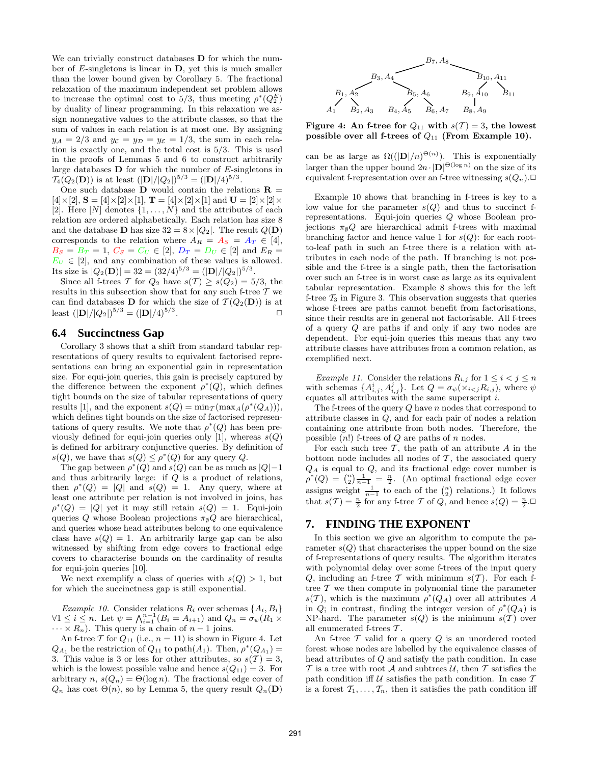We can trivially construct databases **D** for which the number of E-singletons is linear in D, yet this is much smaller than the lower bound given by Corollary 5. The fractional relaxation of the maximum independent set problem allows to increase the optimal cost to 5/3, thus meeting  $\rho^*(Q_2^E)$ by duality of linear programming. In this relaxation we assign nonnegative values to the attribute classes, so that the sum of values in each relation is at most one. By assigning  $y_A = 2/3$  and  $y_C = y_D = y_{\mathcal{E}} = 1/3$ , the sum in each relation is exactly one, and the total cost is 5/3. This is used in the proofs of Lemmas 5 and 6 to construct arbitrarily large databases  **for which the number of**  $E$ **-singletons in**  $\mathcal{T}_4(Q_2(\mathbf{D}))$  is at least  $(|\mathbf{D}|/|Q_2|)^{5/3} = (|\mathbf{D}|/4)^{5/3}$ .

One such database **D** would contain the relations  $\mathbf{R} =$  $[4] \times [2]$ ,  $S = [4] \times [2] \times [1]$ ,  $T = [4] \times [2] \times [1]$  and  $U = [2] \times [2] \times$ [2]. Here  $[N]$  denotes  $\{1, \ldots, N\}$  and the attributes of each relation are ordered alphabetically. Each relation has size 8 and the database **D** has size  $32 = 8 \times |Q_2|$ . The result  $Q(\mathbf{D})$ corresponds to the relation where  $A_R = A_S = A_T \in [4],$  $B_S = B_T = 1, C_S = C_U \in [2], D_T = D_U \in [2]$  and  $E_R =$  $E_U \in [2]$ , and any combination of these values is allowed. Its size is  $|Q_2(\mathbf{D})| = 32 = (32/4)^{5/3} = (|\mathbf{D}|/|Q_2|)^{5/3}$ .

Since all f-trees T for  $Q_2$  have  $s(T) \geq s(Q_2) = 5/3$ , the results in this subsection show that for any such f-tree  $T$  we can find databases **D** for which the size of  $\mathcal{T}(Q_2(\mathbf{D}))$  is at least  $(|\mathbf{D}|/|Q_2|)^{5/3} = (|\mathbf{D}|/4)^{5/3}$ .  $\Box$ 

#### **6.4 Succinctness Gap**

Corollary 3 shows that a shift from standard tabular representations of query results to equivalent factorised representations can bring an exponential gain in representation size. For equi-join queries, this gain is precisely captured by the difference between the exponent  $\rho^*(Q)$ , which defines tight bounds on the size of tabular representations of query results [1], and the exponent  $s(Q) = \min_{\mathcal{T}} (\max_A (\rho^*(Q_A))))$ , which defines tight bounds on the size of factorised representations of query results. We note that  $\rho^*(Q)$  has been previously defined for equi-join queries only [1], whereas  $s(Q)$ is defined for arbitrary conjunctive queries. By definition of  $s(Q)$ , we have that  $s(Q) \leq \rho^*(Q)$  for any query Q.

The gap between  $\rho^*(Q)$  and  $s(Q)$  can be as much as  $|Q|-1$ and thus arbitrarily large: if Q is a product of relations, then  $\rho^*(Q) = |Q|$  and  $s(Q) = 1$ . Any query, where at least one attribute per relation is not involved in joins, has  $\rho^*(Q) = |Q|$  yet it may still retain  $s(Q) = 1$ . Equi-join queries Q whose Boolean projections  $\pi_{\emptyset}Q$  are hierarchical, and queries whose head attributes belong to one equivalence class have  $s(Q) = 1$ . An arbitrarily large gap can be also witnessed by shifting from edge covers to fractional edge covers to characterise bounds on the cardinality of results for equi-join queries [10].

We next exemplify a class of queries with  $s(Q) > 1$ , but for which the succinctness gap is still exponential.

Example 10. Consider relations  $R_i$  over schemas  $\{A_i, B_i\}$  $\forall 1 \leq i \leq n$ . Let  $\psi = \bigwedge_{i=1}^{n-1} (B_i = A_{i+1})$  and  $Q_n = \sigma_{\psi}(R_1 \times R_2)$  $\cdots \times R_n$ ). This query is a chain of  $n-1$  joins.

An f-tree T for  $Q_{11}$  (i.e.,  $n = 11$ ) is shown in Figure 4. Let  $Q_{A_1}$  be the restriction of  $Q_{11}$  to path $(A_1)$ . Then,  $\rho^*(Q_{A_1}) =$ 3. This value is 3 or less for other attributes, so  $s(\mathcal{T}) = 3$ , which is the lowest possible value and hence  $s(Q_{11}) = 3$ . For arbitrary n,  $s(Q_n) = \Theta(\log n)$ . The fractional edge cover of  $Q_n$  has cost  $\Theta(n)$ , so by Lemma 5, the query result  $Q_n(\mathbf{D})$ 



Figure 4: An f-tree for  $Q_{11}$  with  $s(T) = 3$ , the lowest possible over all f-trees of  $Q_{11}$  (From Example 10).

can be as large as  $\Omega((|\mathbf{D}|/n)^{\Theta(n)})$ . This is exponentially larger than the upper bound  $2n \cdot |D|^{(\Theta(\log n))}$  on the size of its equivalent f-representation over an f-tree witnessing  $s(Q_n)$ .

Example 10 shows that branching in f-trees is key to a low value for the parameter  $s(Q)$  and thus to succinct frepresentations. Equi-join queries Q whose Boolean projections  $\pi_{\emptyset}Q$  are hierarchical admit f-trees with maximal branching factor and hence value 1 for  $s(Q)$ : for each rootto-leaf path in such an f-tree there is a relation with attributes in each node of the path. If branching is not possible and the f-tree is a single path, then the factorisation over such an f-tree is in worst case as large as its equivalent tabular representation. Example 8 shows this for the left f-tree  $\mathcal{T}_3$  in Figure 3. This observation suggests that queries whose f-trees are paths cannot benefit from factorisations, since their results are in general not factorisable. All f-trees of a query Q are paths if and only if any two nodes are dependent. For equi-join queries this means that any two attribute classes have attributes from a common relation, as exemplified next.

Example 11. Consider the relations  $R_{i,j}$  for  $1 \leq i < j \leq n$ with schemas  $\{A_{i,j}^i, A_{i,j}^j\}$ . Let  $Q = \sigma_{\psi}(\chi_{i, where  $\psi$$ equates all attributes with the same superscript i.

The f-trees of the query  $Q$  have  $n$  nodes that correspond to attribute classes in Q, and for each pair of nodes a relation containing one attribute from both nodes. Therefore, the possible  $(n!)$  f-trees of Q are paths of n nodes.

For each such tree  $\mathcal T$ , the path of an attribute  $A$  in the bottom node includes all nodes of  $\mathcal T$ , the associated query  $Q_A$  is equal to  $Q$ , and its fractional edge cover number is  $\rho^*(Q) = \binom{n}{2} \frac{1}{n-1} = \frac{n}{2}$ . (An optimal fractional edge cover assigns weight  $\frac{1}{n-1}$  to each of the  $\binom{n}{2}$  relations.) It follows that  $s(\mathcal{T}) = \frac{n}{2}$  for any f-tree  $\mathcal T$  of  $Q$ , and hence  $s(Q) = \frac{n}{2}$ .

# **7. FINDING THE EXPONENT**

In this section we give an algorithm to compute the parameter  $s(Q)$  that characterises the upper bound on the size of f-representations of query results. The algorithm iterates with polynomial delay over some f-trees of the input query Q, including an f-tree T with minimum  $s(T)$ . For each ftree  $\mathcal T$  we then compute in polynomial time the parameter  $s(\mathcal{T})$ , which is the maximum  $\rho^*(Q_A)$  over all attributes A in  $Q$ ; in contrast, finding the integer version of  $\rho^*(Q_A)$  is NP-hard. The parameter  $s(Q)$  is the minimum  $s(T)$  over all enumerated f-trees  $T$ .

An f-tree  $\mathcal T$  valid for a query  $Q$  is an unordered rooted forest whose nodes are labelled by the equivalence classes of head attributes of Q and satisfy the path condition. In case  $\mathcal T$  is a tree with root  $\mathcal A$  and subtrees  $\mathcal U$ , then  $\mathcal T$  satisfies the path condition if  $\mathcal U$  satisfies the path condition. In case  $\mathcal T$ is a forest  $\mathcal{T}_1, \ldots, \mathcal{T}_n$ , then it satisfies the path condition iff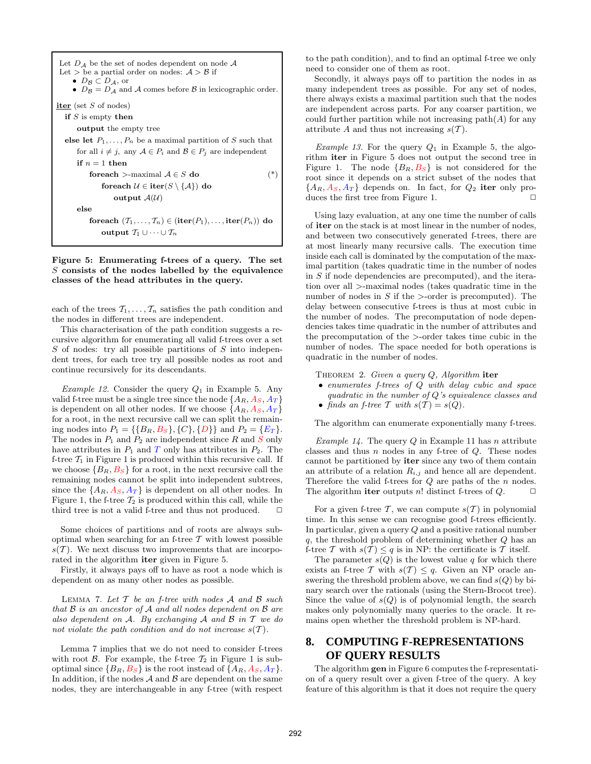| Let $D_A$ be the set of nodes dependent on node A<br>Let $>$ be a partial order on nodes: $A > B$ if<br>$\bullet$ $D_{\mathcal{B}} \subset D_{\mathcal{A}}$ , or<br>• $D_{\mathcal{B}} = D_{\mathcal{A}}$ and A comes before B in lexicographic order. |  |  |  |  |  |  |
|--------------------------------------------------------------------------------------------------------------------------------------------------------------------------------------------------------------------------------------------------------|--|--|--|--|--|--|
| iter (set $S$ of nodes)                                                                                                                                                                                                                                |  |  |  |  |  |  |
| if $S$ is empty then                                                                                                                                                                                                                                   |  |  |  |  |  |  |
| <b>output</b> the empty tree                                                                                                                                                                                                                           |  |  |  |  |  |  |
| else let $P_1, \ldots, P_n$ be a maximal partition of S such that                                                                                                                                                                                      |  |  |  |  |  |  |
| for all $i \neq j$ , any $A \in P_i$ and $B \in P_j$ are independent                                                                                                                                                                                   |  |  |  |  |  |  |
| if $n=1$ then                                                                                                                                                                                                                                          |  |  |  |  |  |  |
| foreach >-maximal $A \in S$ do<br>$(*)$                                                                                                                                                                                                                |  |  |  |  |  |  |
| foreach $\mathcal{U} \in \text{iter}(S \setminus \{A\})$ do                                                                                                                                                                                            |  |  |  |  |  |  |
| output $A(U)$                                                                                                                                                                                                                                          |  |  |  |  |  |  |
| else                                                                                                                                                                                                                                                   |  |  |  |  |  |  |
| for each $(T_1, \ldots, T_n) \in (\text{iter}(P_1), \ldots, \text{iter}(P_n))$ do                                                                                                                                                                      |  |  |  |  |  |  |
| output $T_1 \cup \cdots \cup T_n$                                                                                                                                                                                                                      |  |  |  |  |  |  |
|                                                                                                                                                                                                                                                        |  |  |  |  |  |  |

Figure 5: Enumerating f-trees of a query. The set  $S$  consists of the nodes labelled by the equivalence classes of the head attributes in the query.

each of the trees  $\mathcal{T}_1, \ldots, \mathcal{T}_n$  satisfies the path condition and the nodes in different trees are independent.

This characterisation of the path condition suggests a recursive algorithm for enumerating all valid f-trees over a set  $S$  of nodes: try all possible partitions of  $S$  into independent trees, for each tree try all possible nodes as root and continue recursively for its descendants.

*Example 12.* Consider the query  $Q_1$  in Example 5. Any valid f-tree must be a single tree since the node  $\{A_R, A_S, A_T\}$ is dependent on all other nodes. If we choose  $\{A_R, A_S, A_T\}$ for a root, in the next recursive call we can split the remaining nodes into  $P_1 = \{\{B_R, B_S\}, \{C\}, \{D\}\}\$ and  $P_2 = \{E_T\}.$ The nodes in  $P_1$  and  $P_2$  are independent since  $R$  and  $S$  only have attributes in  $P_1$  and  $T$  only has attributes in  $P_2$ . The f-tree  $\mathcal{T}_1$  in Figure 1 is produced within this recursive call. If we choose  ${B_R, B_S}$  for a root, in the next recursive call the remaining nodes cannot be split into independent subtrees, since the  $\{A_R, A_S, A_T\}$  is dependent on all other nodes. In Figure 1, the f-tree  $\mathcal{T}_2$  is produced within this call, while the third tree is not a valid f-tree and thus not produced.  $\Box$ 

Some choices of partitions and of roots are always suboptimal when searching for an f-tree  $T$  with lowest possible  $s(T)$ . We next discuss two improvements that are incorporated in the algorithm iter given in Figure 5.

Firstly, it always pays off to have as root a node which is dependent on as many other nodes as possible.

LEMMA 7. Let  $T$  be an f-tree with nodes  $A$  and  $B$  such that B is an ancestor of A and all nodes dependent on B are also dependent on  $A$ . By exchanging  $A$  and  $B$  in  $T$  we do not violate the path condition and do not increase  $s(\mathcal{T})$ .

Lemma 7 implies that we do not need to consider f-trees with root  $\beta$ . For example, the f-tree  $\mathcal{T}_2$  in Figure 1 is suboptimal since  ${B_R, B_S}$  is the root instead of  ${A_R, A_S, A_T}$ . In addition, if the nodes  $A$  and  $B$  are dependent on the same nodes, they are interchangeable in any f-tree (with respect to the path condition), and to find an optimal f-tree we only need to consider one of them as root.

Secondly, it always pays off to partition the nodes in as many independent trees as possible. For any set of nodes, there always exists a maximal partition such that the nodes are independent across parts. For any coarser partition, we could further partition while not increasing  $path(A)$  for any attribute A and thus not increasing  $s(\mathcal{T})$ .

*Example 13.* For the query  $Q_1$  in Example 5, the algorithm iter in Figure 5 does not output the second tree in Figure 1. The node  ${B_R, B_S}$  is not considered for the root since it depends on a strict subset of the nodes that  ${A_R, A_S, A_T}$  depends on. In fact, for  $Q_2$  iter only produces the first tree from Figure 1.  $\Box$ 

Using lazy evaluation, at any one time the number of calls of iter on the stack is at most linear in the number of nodes, and between two consecutively generated f-trees, there are at most linearly many recursive calls. The execution time inside each call is dominated by the computation of the maximal partition (takes quadratic time in the number of nodes in  $S$  if node dependencies are precomputed), and the iteration over all >-maximal nodes (takes quadratic time in the number of nodes in  $S$  if the  $\geq$ -order is precomputed). The delay between consecutive f-trees is thus at most cubic in the number of nodes. The precomputation of node dependencies takes time quadratic in the number of attributes and the precomputation of the >-order takes time cubic in the number of nodes. The space needed for both operations is quadratic in the number of nodes.

THEOREM 2. Given a query  $Q$ , Algorithm iter

• enumerates f-trees of Q with delay cubic and space quadratic in the number of Q's equivalence classes and • finds an f-tree T with  $s(T) = s(Q)$ .

The algorithm can enumerate exponentially many f-trees.

*Example 14.* The query Q in Example 11 has n attribute classes and thus  $n$  nodes in any f-tree of  $Q$ . These nodes cannot be partitioned by iter since any two of them contain an attribute of a relation  $R_{i,j}$  and hence all are dependent. Therefore the valid f-trees for Q are paths of the n nodes. The algorithm iter outputs n! distinct f-trees of  $Q$ .  $\Box$ 

For a given f-tree T, we can compute  $s(T)$  in polynomial time. In this sense we can recognise good f-trees efficiently. In particular, given a query Q and a positive rational number q, the threshold problem of determining whether Q has an f-tree T with  $s(T) \leq q$  is in NP: the certificate is T itself.

The parameter  $s(Q)$  is the lowest value q for which there exists an f-tree T with  $s(T) \leq q$ . Given an NP oracle answering the threshold problem above, we can find  $s(Q)$  by binary search over the rationals (using the Stern-Brocot tree). Since the value of  $s(Q)$  is of polynomial length, the search makes only polynomially many queries to the oracle. It remains open whether the threshold problem is NP-hard.

# **8. COMPUTING F-REPRESENTATIONS OF QUERY RESULTS**

The algorithm gen in Figure 6 computes the f-representation of a query result over a given f-tree of the query. A key feature of this algorithm is that it does not require the query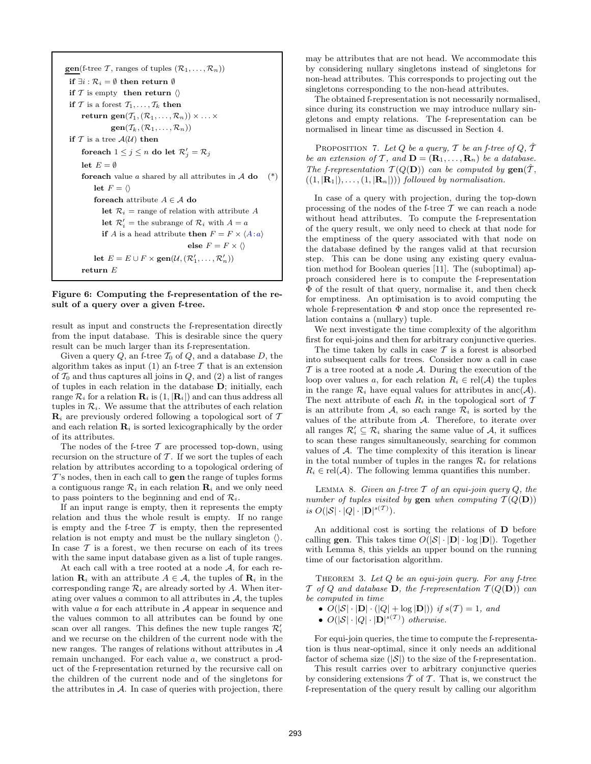**gen**(f-tree T, ranges of tuples  $(\mathcal{R}_1, \ldots, \mathcal{R}_n)$ ) if  $\exists i : \mathcal{R}_i = ∅$  then return  $\emptyset$ if T is empty then return  $\langle \rangle$ if T is a forest  $T_1, \ldots, T_k$  then return gen $(\mathcal{T}_1, (\mathcal{R}_1, \ldots, \mathcal{R}_n)) \times \ldots \times$  $gen(\mathcal{T}_k, (\mathcal{R}_1, \ldots, \mathcal{R}_n))$ if  $T$  is a tree  $\mathcal{A}(\mathcal{U})$  then foreach  $1 \leq j \leq n$  do let  $\mathcal{R}'_j = \mathcal{R}_j$ let  $E = \emptyset$ **foreach** value a shared by all attributes in  $A$  do  $(*)$ let  $F = \langle \rangle$ for<br>each attribute  $A \in \mathcal{A}$  do let  $\mathcal{R}_i$  = range of relation with attribute A **let**  $\mathcal{R}'_i$  = the subrange of  $\mathcal{R}_i$  with  $A = a$ if A is a head attribute then  $F = F \times \langle A : a \rangle$ else  $F = F \times \langle \rangle$ let  $E = E \cup F \times \textbf{gen}(\mathcal{U}, (\mathcal{R}'_1, \dots, \mathcal{R}'_n))$ return E

Figure 6: Computing the f-representation of the result of a query over a given f-tree.

result as input and constructs the f-representation directly from the input database. This is desirable since the query result can be much larger than its f-representation.

Given a query  $Q$ , an f-tree  $\mathcal{T}_0$  of  $Q$ , and a database  $D$ , the algorithm takes as input  $(1)$  an f-tree T that is an extension of  $\mathcal{T}_0$  and thus captures all joins in  $Q$ , and  $(2)$  a list of ranges of tuples in each relation in the database D; initially, each range  $\mathcal{R}_i$  for a relation  $\mathbf{R}_i$  is  $(1, |\mathbf{R}_i|)$  and can thus address all tuples in  $\mathcal{R}_i$ . We assume that the attributes of each relation  $\mathbf{R}_i$  are previously ordered following a topological sort of T and each relation  $\mathbf{R}_i$  is sorted lexicographically by the order of its attributes.

The nodes of the f-tree  $\mathcal T$  are processed top-down, using recursion on the structure of  $T$ . If we sort the tuples of each relation by attributes according to a topological ordering of  $T$ 's nodes, then in each call to **gen** the range of tuples forms a contiguous range  $\mathcal{R}_i$  in each relation  $\mathbf{R}_i$  and we only need to pass pointers to the beginning and end of  $\mathcal{R}_i$ .

If an input range is empty, then it represents the empty relation and thus the whole result is empty. If no range is empty and the f-tree  $\mathcal T$  is empty, then the represented relation is not empty and must be the nullary singleton  $\langle \rangle$ . In case  $\mathcal T$  is a forest, we then recurse on each of its trees with the same input database given as a list of tuple ranges.

At each call with a tree rooted at a node A, for each relation  $\mathbf{R}_i$  with an attribute  $A \in \mathcal{A}$ , the tuples of  $\mathbf{R}_i$  in the corresponding range  $\mathcal{R}_i$  are already sorted by A. When iterating over values a common to all attributes in  $A$ , the tuples with value  $\alpha$  for each attribute in  $\mathcal A$  appear in sequence and the values common to all attributes can be found by one scan over all ranges. This defines the new tuple ranges  $\mathcal{R}'_i$ and we recurse on the children of the current node with the new ranges. The ranges of relations without attributes in  $A$ remain unchanged. For each value a, we construct a product of the f-representation returned by the recursive call on the children of the current node and of the singletons for the attributes in  $A$ . In case of queries with projection, there

may be attributes that are not head. We accommodate this by considering nullary singletons instead of singletons for non-head attributes. This corresponds to projecting out the singletons corresponding to the non-head attributes.

The obtained f-representation is not necessarily normalised, since during its construction we may introduce nullary singletons and empty relations. The f-representation can be normalised in linear time as discussed in Section 4.

PROPOSITION 7. Let  $Q$  be a query,  $T$  be an f-tree of  $Q$ ,  $\hat{T}$ be an extension of T, and  $\mathbf{D} = (\mathbf{R}_1, \dots, \mathbf{R}_n)$  be a database. The f-representation  $T(Q(D))$  can be computed by  $\textbf{gen}(\hat{T}, \hat{T})$  $((1, |\mathbf{R}_1|), \ldots, (1, |\mathbf{R}_n|)))$  followed by normalisation.

In case of a query with projection, during the top-down processing of the nodes of the f-tree  $\mathcal T$  we can reach a node without head attributes. To compute the f-representation of the query result, we only need to check at that node for the emptiness of the query associated with that node on the database defined by the ranges valid at that recursion step. This can be done using any existing query evaluation method for Boolean queries [11]. The (suboptimal) approach considered here is to compute the f-representation Φ of the result of that query, normalise it, and then check for emptiness. An optimisation is to avoid computing the whole f-representation  $\Phi$  and stop once the represented relation contains a (nullary) tuple.

We next investigate the time complexity of the algorithm first for equi-joins and then for arbitrary conjunctive queries.

The time taken by calls in case  $T$  is a forest is absorbed into subsequent calls for trees. Consider now a call in case  $\mathcal T$  is a tree rooted at a node  $\mathcal A$ . During the execution of the loop over values a, for each relation  $R_i \in rel(\mathcal{A})$  the tuples in the range  $\mathcal{R}_i$  have equal values for attributes in anc( $\mathcal{A}$ ). The next attribute of each  $R_i$  in the topological sort of  $T$ is an attribute from A, so each range  $\mathcal{R}_i$  is sorted by the values of the attribute from A. Therefore, to iterate over all ranges  $\mathcal{R}'_i \subseteq \mathcal{R}_i$  sharing the same value of  $\mathcal{A}$ , it suffices to scan these ranges simultaneously, searching for common values of  $A$ . The time complexity of this iteration is linear in the total number of tuples in the ranges  $\mathcal{R}_i$  for relations  $R_i \in \text{rel}(\mathcal{A})$ . The following lemma quantifies this number.

LEMMA 8. Given an f-tree  $\mathcal T$  of an equi-join query  $Q$ , the number of tuples visited by gen when computing  $T(Q(D))$ is  $O(|\mathcal{S}| \cdot |Q| \cdot |\mathbf{D}|^{s(\mathcal{T})}).$ 

An additional cost is sorting the relations of D before calling **gen**. This takes time  $O(|\mathcal{S}| \cdot |\mathbf{D}| \cdot \log |\mathbf{D}|)$ . Together with Lemma 8, this yields an upper bound on the running time of our factorisation algorithm.

THEOREM 3. Let  $Q$  be an equi-join query. For any f-tree  $\mathcal T$  of  $Q$  and database **D**, the f-representation  $\mathcal T(Q(\mathbf D))$  can be computed in time

•  $O(|\mathcal{S}| \cdot |\mathbf{D}| \cdot (|Q| + \log |\mathbf{D}|))$  if  $s(\mathcal{T}) = 1$ , and

•  $O(|\mathcal{S}| \cdot |Q| \cdot |\mathbf{D}|^{s(\mathcal{T})})$  otherwise.

For equi-join queries, the time to compute the f-representation is thus near-optimal, since it only needs an additional factor of schema size  $(|\mathcal{S}|)$  to the size of the f-representation.

This result carries over to arbitrary conjunctive queries by considering extensions  $\hat{\mathcal{T}}$  of  $\mathcal{T}$ . That is, we construct the f-representation of the query result by calling our algorithm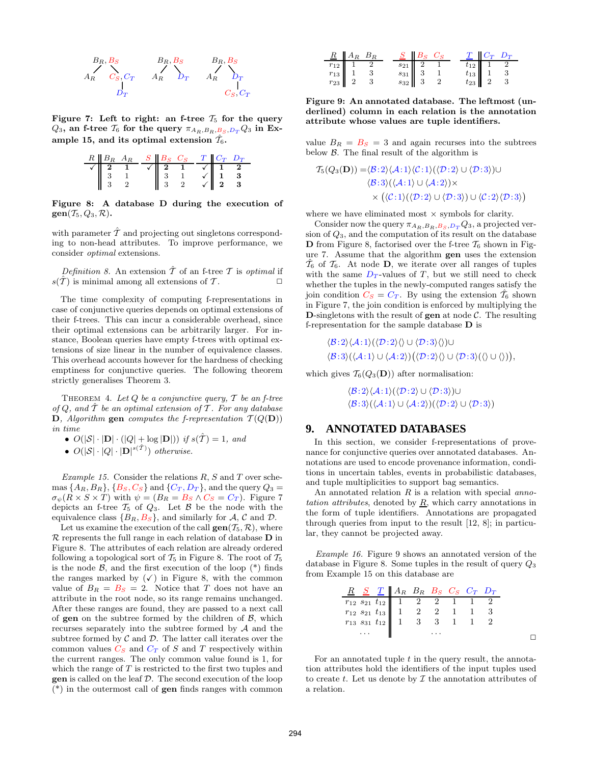

Figure 7: Left to right: an f-tree  $\mathcal{T}_5$  for the query  $Q_3$ , an f-tree  $\mathcal{T}_6$  for the query  $\pi_{A_R,B_R,B_S,D_T}Q_3$  in Example 15, and its optimal extension  $\hat{\mathcal{T}}_6$ .



Figure 8: A database D during the execution of  $gen(\mathcal{T}_5, Q_3, \mathcal{R}).$ 

with parameter  $\hat{T}$  and projecting out singletons corresponding to non-head attributes. To improve performance, we consider optimal extensions.

Definition 8. An extension  $\hat{\mathcal{T}}$  of an f-tree  $\mathcal{T}$  is optimal if  $s(\hat{\mathcal{T}})$  is minimal among all extensions of  $\mathcal{T}$ .

The time complexity of computing f-representations in case of conjunctive queries depends on optimal extensions of their f-trees. This can incur a considerable overhead, since their optimal extensions can be arbitrarily larger. For instance, Boolean queries have empty f-trees with optimal extensions of size linear in the number of equivalence classes. This overhead accounts however for the hardness of checking emptiness for conjunctive queries. The following theorem strictly generalises Theorem 3.

THEOREM 4. Let  $Q$  be a conjunctive query,  $T$  be an f-tree of  $Q$ , and  $T$  be an optimal extension of  $T$ . For any database **D**, Algorithm gen computes the f-representation  $T(Q(D))$ in time

- $O(|\mathcal{S}| \cdot |\mathbf{D}| \cdot (|\mathcal{Q}| + \log |\mathbf{D}|))$  if  $s(\hat{\mathcal{T}}) = 1$ , and
- $O(|\mathcal{S}| \cdot |Q| \cdot |\mathbf{D}|^{s(\hat{\mathcal{T}})})$  otherwise.

Example 15. Consider the relations  $R$ ,  $S$  and  $T$  over schemas  $\{A_R, B_R\}, \{B_S, C_S\}$  and  $\{C_T, D_T\}$ , and the query  $Q_3 =$  $\sigma_{\psi}(R \times S \times T)$  with  $\psi = (B_R = B_S \wedge C_S = C_T)$ . Figure 7 depicts an f-tree  $\mathcal{T}_5$  of  $Q_3$ . Let  $\mathcal B$  be the node with the equivalence class  $\{B_R, B_S\}$ , and similarly for A, C and D.

Let us examine the execution of the call  $gen(\mathcal{T}_5, \mathcal{R})$ , where  $\mathcal R$  represents the full range in each relation of database  $D$  in Figure 8. The attributes of each relation are already ordered following a topological sort of  $\mathcal{T}_5$  in Figure 8. The root of  $\mathcal{T}_5$ is the node  $\beta$ , and the first execution of the loop  $(*)$  finds the ranges marked by  $(\checkmark)$  in Figure 8, with the common value of  $B_R = B_S = 2$ . Notice that T does not have an attribute in the root node, so its range remains unchanged. After these ranges are found, they are passed to a next call of gen on the subtree formed by the children of  $\beta$ , which recurses separately into the subtree formed by  $A$  and the subtree formed by  $\mathcal C$  and  $\mathcal D$ . The latter call iterates over the common values  $C_S$  and  $C_T$  of S and T respectively within the current ranges. The only common value found is 1, for which the range of  $T$  is restricted to the first two tuples and gen is called on the leaf D. The second execution of the loop (\*) in the outermost call of gen finds ranges with common

|                                                                         | $R$ $A_R$ $B_R$ |                                                                         | $S$ $B_S$ $C_S$ |  |                                                                                      | $T$ $C_T$ $D_T$ |
|-------------------------------------------------------------------------|-----------------|-------------------------------------------------------------------------|-----------------|--|--------------------------------------------------------------------------------------|-----------------|
|                                                                         |                 |                                                                         |                 |  |                                                                                      |                 |
|                                                                         |                 |                                                                         |                 |  |                                                                                      |                 |
| $\begin{array}{c c} r_{12} & 1 \\ r_{13} & 1 \\ r_{23} & 2 \end{array}$ |                 | $\begin{array}{c c} s_{21} & 2 \\ s_{31} & 3 \\ s_{32} & 3 \end{array}$ |                 |  | $\begin{array}{c cc} t_{12} & 1 & 2 \\ t_{13} & 1 & 3 \\ t_{23} & 2 & 3 \end{array}$ |                 |

Figure 9: An annotated database. The leftmost (underlined) column in each relation is the annotation attribute whose values are tuple identifiers.

value  $B_R = B_S = 3$  and again recurses into the subtrees below  $\beta$ . The final result of the algorithm is

$$
T_5(Q_3(D)) = \langle B:2\rangle \langle A:1\rangle \langle C:1\rangle (\langle D:2\rangle \cup \langle D:3\rangle) \cup \langle B:3\rangle (\langle A:1\rangle \cup \langle A:2\rangle) \times \times (\langle C:1\rangle (\langle D:2\rangle \cup \langle D:3\rangle) \cup \langle C:2\rangle \langle D:3\rangle)
$$

where we have eliminated most  $\times$  symbols for clarity.

Consider now the query  $\pi_{A_R,B_R,B_S,D_T}Q_3$ , a projected version of  $Q_3$ , and the computation of its result on the database **D** from Figure 8, factorised over the f-tree  $\mathcal{T}_6$  shown in Figure 7. Assume that the algorithm gen uses the extension  $\hat{\mathcal{T}}_6$  of  $\mathcal{T}_6$ . At node **D**, we iterate over all ranges of tuples with the same  $D_T$ -values of T, but we still need to check whether the tuples in the newly-computed ranges satisfy the join condition  $C_S = C_T$ . By using the extension  $\hat{T}_6$  shown in Figure 7, the join condition is enforced by multiplying the **D**-singletons with the result of **gen** at node  $\mathcal{C}$ . The resulting f-representation for the sample database D is

$$
\langle \mathcal{B}:2\rangle \langle \mathcal{A}:1\rangle (\langle \mathcal{D}:2\rangle \langle \rangle \cup \langle \mathcal{D}:3\rangle \langle \rangle) \cup \langle \mathcal{B}:3\rangle (\langle \mathcal{A}:1\rangle \cup \langle \mathcal{A}:2\rangle) (\langle \mathcal{D}:2\rangle \langle \rangle \cup \langle \mathcal{D}:3\rangle (\langle \rangle \cup \langle \rangle)),
$$

which gives  $\mathcal{T}_6(Q_3(\mathbf{D}))$  after normalisation:

 $\langle B: 2\rangle \langle A: 1\rangle (\langle \mathcal{D}: 2\rangle \cup \langle \mathcal{D}: 3\rangle) \cup$  $\langle B: 3 \rangle (\langle A: 1 \rangle \cup \langle A: 2 \rangle)(\langle \mathcal{D}: 2 \rangle \cup \langle \mathcal{D}: 3 \rangle)$ 

#### **9. ANNOTATED DATABASES**

In this section, we consider f-representations of provenance for conjunctive queries over annotated databases. Annotations are used to encode provenance information, conditions in uncertain tables, events in probabilistic databases, and tuple multiplicities to support bag semantics.

An annotated relation  $R$  is a relation with special annotation attributes, denoted by  $\underline{R}$ , which carry annotations in the form of tuple identifiers. Annotations are propagated through queries from input to the result [12, 8]; in particular, they cannot be projected away.

Example 16. Figure 9 shows an annotated version of the database in Figure 8. Some tuples in the result of query  $Q_3$ from Example 15 on this database are

| R S T A R B R B S C S T D T                                                                                                                                                                       |  |  |  |
|---------------------------------------------------------------------------------------------------------------------------------------------------------------------------------------------------|--|--|--|
|                                                                                                                                                                                                   |  |  |  |
|                                                                                                                                                                                                   |  |  |  |
| $\begin{array}{c cccccc} r_{12} \ s_{21} \ t_{12} & 1 & 2 & 2 & 1 & 1 & 2 \\ r_{12} \ s_{21} \ t_{13} & 1 & 2 & 2 & 1 & 1 & 3 \\ r_{13} \ s_{31} \ t_{12} & 1 & 3 & 3 & 1 & 1 & 2 \\ \end{array}$ |  |  |  |
| . 11                                                                                                                                                                                              |  |  |  |
|                                                                                                                                                                                                   |  |  |  |

For an annotated tuple  $t$  in the query result, the annotation attributes hold the identifiers of the input tuples used to create t. Let us denote by  $\mathcal I$  the annotation attributes of a relation.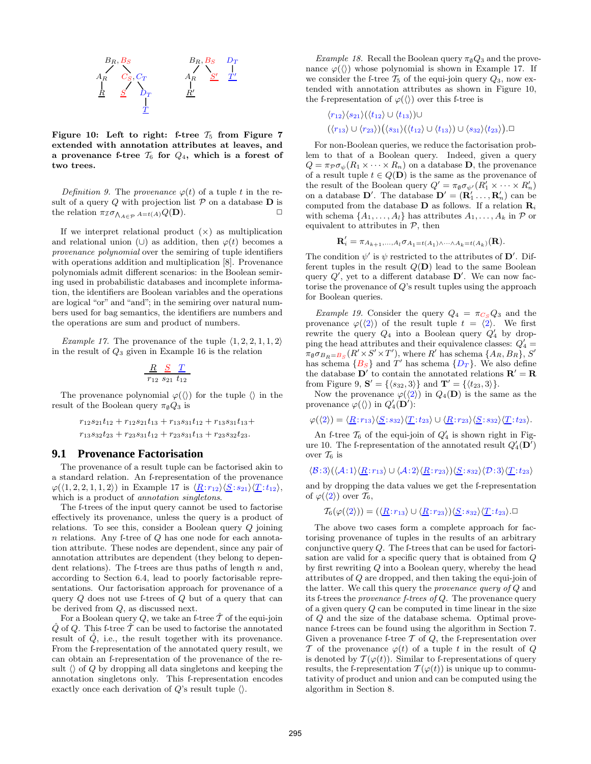

Figure 10: Left to right: f-tree  $\mathcal{T}_5$  from Figure 7 extended with annotation attributes at leaves, and a provenance f-tree  $\mathcal{T}_6$  for  $\mathcal{Q}_4$ , which is a forest of two trees.

Definition 9. The provenance  $\varphi(t)$  of a tuple t in the result of a query  $Q$  with projection list  $P$  on a database  $D$  is the relation  $\pi_{\mathcal{I}} \sigma_{\bigwedge_{A \in \mathcal{P}} A = t(A)} Q(\mathbf{D}).$ 

If we interpret relational product  $(x)$  as multiplication and relational union (∪) as addition, then  $\varphi(t)$  becomes a provenance polynomial over the semiring of tuple identifiers with operations addition and multiplication [8]. Provenance polynomials admit different scenarios: in the Boolean semiring used in probabilistic databases and incomplete information, the identifiers are Boolean variables and the operations are logical "or" and "and"; in the semiring over natural numbers used for bag semantics, the identifiers are numbers and the operations are sum and product of numbers.

*Example 17.* The provenance of the tuple  $\langle 1, 2, 2, 1, 1, 2 \rangle$ in the result of  $Q_3$  given in Example 16 is the relation

$$
\begin{array}{c|cc}\n & \underline{R} & \underline{S} & \underline{T} \\
\hline\n & r_{12} & s_{21} & t_{12}\n\end{array}
$$

The provenance polynomial  $\varphi(\langle\rangle)$  for the tuple  $\langle\rangle$  in the result of the Boolean query  $\pi_{\emptyset}Q_3$  is

$$
r_{12}s_{21}t_{12} + r_{12}s_{21}t_{13} + r_{13}s_{31}t_{12} + r_{13}s_{31}t_{13} +
$$
  

$$
r_{13}s_{32}t_{23} + r_{23}s_{31}t_{12} + r_{23}s_{31}t_{13} + r_{23}s_{32}t_{23}.
$$

#### **9.1 Provenance Factorisation**

The provenance of a result tuple can be factorised akin to a standard relation. An f-representation of the provenance  $\varphi(\langle 1, 2, 2, 1, 1, 2 \rangle)$  in Example 17 is  $\langle \underline{R}: r_{12} \rangle \langle \underline{S}: s_{21} \rangle \langle \underline{T}: t_{12} \rangle$ , which is a product of *annotation singletons*.

The f-trees of the input query cannot be used to factorise effectively its provenance, unless the query is a product of relations. To see this, consider a Boolean query Q joining n relations. Any f-tree of Q has one node for each annotation attribute. These nodes are dependent, since any pair of annotation attributes are dependent (they belong to dependent relations). The f-trees are thus paths of length  $n$  and, according to Section 6.4, lead to poorly factorisable representations. Our factorisation approach for provenance of a query Q does not use f-trees of Q but of a query that can be derived from Q, as discussed next.

For a Boolean query  $Q$ , we take an f-tree  $\hat{\mathcal{T}}$  of the equi-join  $\hat{Q}$  of Q. This f-tree  $\hat{T}$  can be used to factorise the annotated result of  $Q$ , i.e., the result together with its provenance. From the f-representation of the annotated query result, we can obtain an f-representation of the provenance of the result  $\langle \rangle$  of Q by dropping all data singletons and keeping the annotation singletons only. This f-representation encodes exactly once each derivation of  $Q$ 's result tuple  $\langle \rangle$ .

Example 18. Recall the Boolean query  $\pi_{\emptyset}Q_3$  and the provenance  $\varphi(\langle\rangle)$  whose polynomial is shown in Example 17. If we consider the f-tree  $\mathcal{T}_5$  of the equi-join query  $Q_3$ , now extended with annotation attributes as shown in Figure 10, the f-representation of  $\varphi(\langle\rangle)$  over this f-tree is

$$
\langle r_{12}\rangle\langle s_{21}\rangle(\langle t_{12}\rangle\cup\langle t_{13}\rangle)\cup
$$

$$
(\langle r_{13}\rangle\cup\langle r_{23}\rangle)(\langle s_{31}\rangle(\langle t_{12}\rangle\cup\langle t_{13}\rangle)\cup\langle s_{32}\rangle\langle t_{23}\rangle)\Box
$$

For non-Boolean queries, we reduce the factorisation problem to that of a Boolean query. Indeed, given a query  $Q = \pi \rho \sigma_{\psi}(R_1 \times \cdots \times R_n)$  on a database **D**, the provenance of a result tuple  $t \in Q(\mathbf{D})$  is the same as the provenance of the result of the Boolean query  $Q' = \pi_{\emptyset} \sigma_{\psi'}(R'_1 \times \cdots \times R'_n)$ on a database  $\mathbf{D}'$ . The database  $\mathbf{D}' = (\mathbf{R}'_1 \dots, \mathbf{R}'_n)$  can be computed from the database **D** as follows. If a relation  $\mathbf{R}_i$ with schema  $\{A_1, \ldots, A_l\}$  has attributes  $A_1, \ldots, A_k$  in  $\mathcal P$  or equivalent to attributes in  $P$ , then

$$
\mathbf{R}'_i = \pi_{A_{k+1},...,A_l} \sigma_{A_1 = t(A_1) \wedge \cdots \wedge A_k = t(A_k)}(\mathbf{R}).
$$

The condition  $\psi'$  is  $\psi$  restricted to the attributes of  $\mathbf{D}'$ . Different tuples in the result  $Q(D)$  lead to the same Boolean query  $Q'$ , yet to a different database  $D'$ . We can now factorise the provenance of Q's result tuples using the approach for Boolean queries.

Example 19. Consider the query  $Q_4 = \pi c_s Q_3$  and the provenance  $\varphi(\langle 2 \rangle)$  of the result tuple  $t = \langle 2 \rangle$ . We first rewrite the query  $Q_4$  into a Boolean query  $Q'_4$  by dropping the head attributes and their equivalence classes:  $Q'_4$  =  $\pi_{\emptyset} \sigma_{B_R=B_S}(R' \times S' \times T')$ , where R' has schema  $\{A_R, B_R\}$ , S' has schema  ${B<sub>S</sub>}$  and T' has schema  ${D<sub>T</sub>}$ . We also define the database  $\mathbf{D}'$  to contain the annotated relations  $\mathbf{R}' = \mathbf{R}$ from Figure 9,  $\mathbf{S}' = \{\langle s_{32}, 3 \rangle\}$  and  $\mathbf{T}' = \{\langle t_{23}, 3 \rangle\}.$ 

Now the provenance  $\varphi(\langle 2 \rangle)$  in  $Q_4(D)$  is the same as the provenance  $\varphi(\langle\rangle)$  in  $Q'_4(D')$ :

$$
\varphi(\langle 2 \rangle) = \langle \underline{R}; r_{13} \rangle \langle \underline{S}; s_{32} \rangle \langle \underline{T}; t_{23} \rangle \cup \langle \underline{R}; r_{23} \rangle \langle \underline{S}; s_{32} \rangle \langle \underline{T}; t_{23} \rangle.
$$

An f-tree  $\mathcal{T}_6$  of the equi-join of  $Q'_4$  is shown right in Figure 10. The f-representation of the annotated result  $Q_4'(\mathbf{D}')$ over  $\mathcal{T}_6$  is

$$
\langle \mathcal{B}:3 \rangle (\langle \mathcal{A}:1 \rangle \langle \underline{R}:r_{13} \rangle \cup \langle \mathcal{A}:2 \rangle \langle \underline{R}:r_{23} \rangle) \langle \underline{S}:s_{32} \rangle \langle \mathcal{D}:3 \rangle \langle \underline{T}:t_{23} \rangle
$$

and by dropping the data values we get the f-representation of  $\varphi(\langle 2 \rangle)$  over  $\mathcal{T}_6$ ,

$$
\mathcal{T}_6(\varphi(\langle 2 \rangle)) = (\langle \underline{R}; r_{13} \rangle \cup \langle \underline{R}; r_{23} \rangle) \langle \underline{S}; s_{32} \rangle \langle \underline{T}; t_{23} \rangle. \Box
$$

The above two cases form a complete approach for factorising provenance of tuples in the results of an arbitrary conjunctive query  $Q$ . The f-trees that can be used for factorisation are valid for a specific query that is obtained from Q by first rewriting Q into a Boolean query, whereby the head attributes of Q are dropped, and then taking the equi-join of the latter. We call this query the provenance query of Q and its f-trees the provenance f-trees of Q. The provenance query of a given query Q can be computed in time linear in the size of Q and the size of the database schema. Optimal provenance f-trees can be found using the algorithm in Section 7. Given a provenance f-tree  $\mathcal T$  of  $Q$ , the f-representation over T of the provenance  $\varphi(t)$  of a tuple t in the result of Q is denoted by  $\mathcal{T}(\varphi(t))$ . Similar to f-representations of query results, the f-representation  $\mathcal{T}(\varphi(t))$  is unique up to commutativity of product and union and can be computed using the algorithm in Section 8.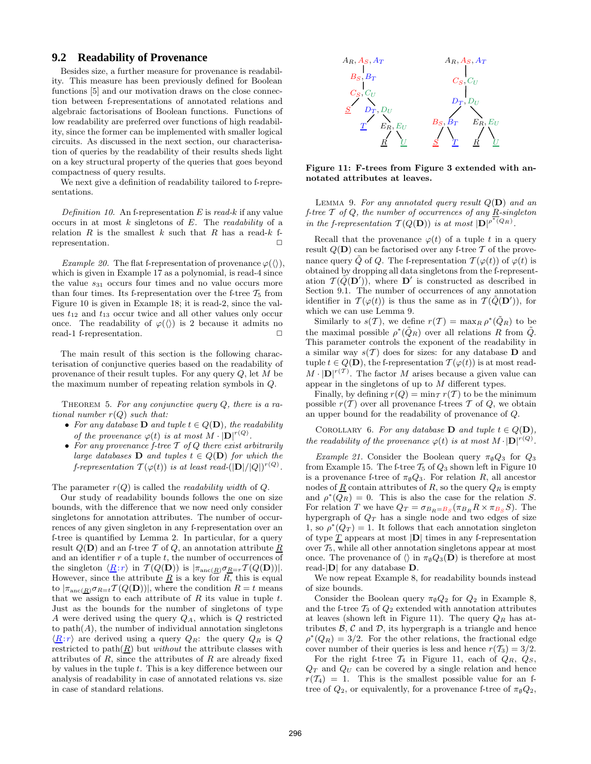#### **9.2 Readability of Provenance**

Besides size, a further measure for provenance is readability. This measure has been previously defined for Boolean functions [5] and our motivation draws on the close connection between f-representations of annotated relations and algebraic factorisations of Boolean functions. Functions of low readability are preferred over functions of high readability, since the former can be implemented with smaller logical circuits. As discussed in the next section, our characterisation of queries by the readability of their results sheds light on a key structural property of the queries that goes beyond compactness of query results.

We next give a definition of readability tailored to f-representations.

Definition 10. An f-representation  $E$  is read-k if any value occurs in at most  $k$  singletons of  $E$ . The *readability* of a relation  $R$  is the smallest  $k$  such that  $R$  has a read- $k$  frepresentation.  $\Box$ 

*Example 20.* The flat f-representation of provenance  $\varphi(\langle\rangle)$ , which is given in Example 17 as a polynomial, is read-4 since the value  $s_{31}$  occurs four times and no value occurs more than four times. Its f-representation over the f-tree  $T_5$  from Figure 10 is given in Example 18; it is read-2, since the values  $t_{12}$  and  $t_{13}$  occur twice and all other values only occur once. The readability of  $\varphi(\langle\rangle)$  is 2 because it admits no read-1 f-representation.

The main result of this section is the following characterisation of conjunctive queries based on the readability of provenance of their result tuples. For any query  $Q$ , let M be the maximum number of repeating relation symbols in Q.

THEOREM 5. For any conjunctive query  $Q$ , there is a rational number  $r(Q)$  such that:

- For any database **D** and tuple  $t \in Q(\mathbf{D})$ , the readability of the provenance  $\varphi(t)$  is at most  $M \cdot |D|^{r(Q)}$ .
- For any provenance f-tree  $T$  of  $Q$  there exist arbitrarily large databases **D** and tuples  $t \in Q(\mathbf{D})$  for which the f-representation  $T(\varphi(t))$  is at least read- $(|\mathbf{D}|/|Q|)^{r(Q)}$ .

The parameter  $r(Q)$  is called the *readability width* of  $Q$ .

Our study of readability bounds follows the one on size bounds, with the difference that we now need only consider singletons for annotation attributes. The number of occurrences of any given singleton in any f-representation over an f-tree is quantified by Lemma 2. In particular, for a query result  $Q(\mathbf{D})$  and an f-tree T of Q, an annotation attribute R and an identifier  $r$  of a tuple  $t$ , the number of occurrences of the singleton  $\langle \underline{R}: r \rangle$  in  $\mathcal{T} (Q(\mathbf{D}))$  is  $|\pi_{\text{anc}(\underline{R})}\sigma_{\underline{R}=r}\mathcal{T} (Q(\mathbf{D}))|$ . However, since the attribute  $\underline{R}$  is a key for  $R$ , this is equal to  $|\pi_{\text{anc}(\underline{R})}\sigma_{R=t}\mathcal{T}(Q(\mathbf{D}))|$ , where the condition  $R=t$  means that we assign to each attribute of  $R$  its value in tuple  $t$ . Just as the bounds for the number of singletons of type A were derived using the query  $Q_A$ , which is  $Q$  restricted to  $path(A)$ , the number of individual annotation singletons  $\langle R:r \rangle$  are derived using a query  $Q_R$ : the query  $Q_R$  is Q restricted to  $path(R)$  but *without* the attribute classes with attributes of  $R$ , since the attributes of  $R$  are already fixed by values in the tuple t. This is a key difference between our analysis of readability in case of annotated relations vs. size in case of standard relations.



Figure 11: F-trees from Figure 3 extended with annotated attributes at leaves.

LEMMA 9. For any annotated query result  $Q(D)$  and an f-tree  $T$  of  $Q$ , the number of occurrences of any  $\underline{R}$ -singleton in the f-representation  $\mathcal{T}(Q(\mathbf{D}))$  is at most  $|\mathbf{D}|^{\rho^*(Q_R)}$ .

Recall that the provenance  $\varphi(t)$  of a tuple t in a query result  $Q(\mathbf{D})$  can be factorised over any f-tree T of the provenance query  $\tilde{Q}$  of Q. The f-representation  $\mathcal{T}(\varphi(t))$  of  $\varphi(t)$  is obtained by dropping all data singletons from the f-representation  $\mathcal{T}(\tilde{Q}(\mathbf{D}'))$ , where  $\mathbf{D}'$  is constructed as described in Section 9.1. The number of occurrences of any annotation identifier in  $\mathcal{T}(\varphi(t))$  is thus the same as in  $\mathcal{T}(\tilde{Q}(\mathbf{D}'))$ , for which we can use Lemma 9.

Similarly to  $s(\mathcal{T})$ , we define  $r(\mathcal{T}) = \max_{R} \rho^*(\tilde{Q}_R)$  to be the maximal possible  $\rho^*(\tilde{Q}_R)$  over all relations R from  $\tilde{Q}$ . This parameter controls the exponent of the readability in a similar way  $s(T)$  does for sizes: for any database **D** and tuple  $t \in Q(\mathbf{D})$ , the f-representation  $\mathcal{T}(\varphi(t))$  is at most read- $M \cdot |D|^{r(T)}$ . The factor M arises because a given value can appear in the singletons of up to M different types.

Finally, by defining  $r(Q) = \min_{\tau} r(T)$  to be the minimum possible  $r(\mathcal{T})$  over all provenance f-trees  $\mathcal T$  of  $Q$ , we obtain an upper bound for the readability of provenance of Q.

COROLLARY 6. For any database **D** and tuple  $t \in Q(\mathbf{D})$ , the readability of the provenance  $\varphi(t)$  is at most  $M \cdot |D|^{r(Q)}$ .

Example 21. Consider the Boolean query  $\pi_{\emptyset}Q_3$  for  $Q_3$ from Example 15. The f-tree  $T_5$  of  $Q_3$  shown left in Figure 10 is a provenance f-tree of  $\pi_{\emptyset}Q_3$ . For relation R, all ancestor nodes of  $\underline{R}$  contain attributes of  $R$ , so the query  $Q_R$  is empty and  $\rho^*(\overline{Q_R}) = 0$ . This is also the case for the relation S. For relation T we have  $Q_T = \sigma_{B_R = B_S} (\pi_{B_R} R \times \pi_{B_S} S)$ . The hypergraph of  $Q_T$  has a single node and two edges of size 1, so  $\rho^*(Q_T) = 1$ . It follows that each annotation singleton of type  $T$  appears at most  $|D|$  times in any f-representation over  $\mathcal{T}_5$ , while all other annotation singletons appear at most once. The provenance of  $\langle \rangle$  in  $\pi_{\emptyset}Q_3(\mathbf{D})$  is therefore at most read-|D| for any database D.

We now repeat Example 8, for readability bounds instead of size bounds.

Consider the Boolean query  $\pi_{\emptyset}Q_2$  for  $Q_2$  in Example 8, and the f-tree  $\mathcal{T}_3$  of  $\mathcal{Q}_2$  extended with annotation attributes at leaves (shown left in Figure 11). The query  $Q_R$  has attributes  $\beta$ ,  $\beta$  and  $\beta$ , its hypergraph is a triangle and hence  $\rho^*(Q_R) = 3/2$ . For the other relations, the fractional edge cover number of their queries is less and hence  $r(\mathcal{T}_3) = 3/2$ .

For the right f-tree  $\mathcal{T}_4$  in Figure 11, each of  $Q_R$ ,  $Q_S$ ,  $Q_T$  and  $Q_U$  can be covered by a single relation and hence  $r(T_4) = 1$ . This is the smallest possible value for an ftree of  $Q_2$ , or equivalently, for a provenance f-tree of  $\pi_{\emptyset}Q_2$ ,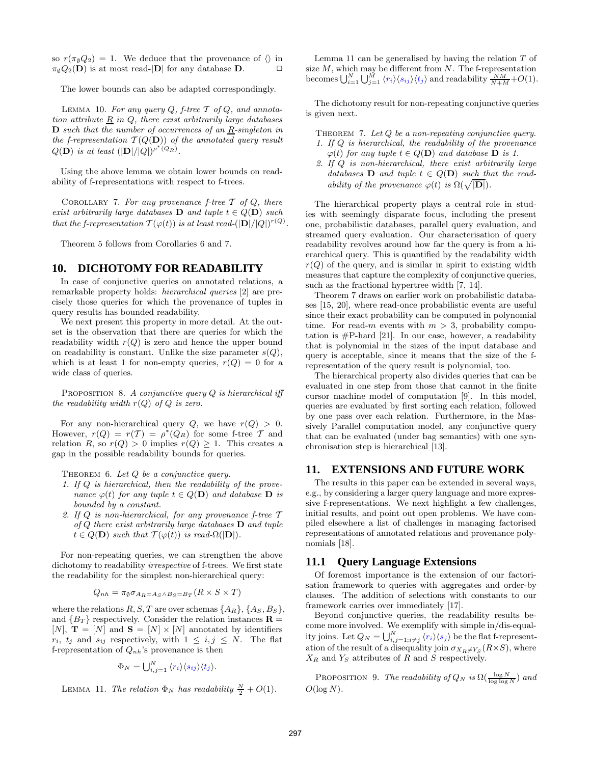so  $r(\pi_{\emptyset}Q_2) = 1$ . We deduce that the provenance of  $\langle \rangle$  in  $\pi_{\emptyset}Q_2(\mathbf{D})$  is at most read- $|\mathbf{D}|$  for any database **D**.

The lower bounds can also be adapted correspondingly.

LEMMA 10. For any query  $Q$ , f-tree  $T$  of  $Q$ , and annotation attribute  $\underline{R}$  in  $Q$ , there exist arbitrarily large databases  $\mathbf D$  such that the number of occurrences of an  $\underline{R}$ -singleton in the f-representation  $\mathcal{T}(Q(\mathbf{D}))$  of the annotated query result  $Q(\mathbf{D})$  is at least  $(|\mathbf{D}|/|Q|)^{\rho^{*}(Q_R)}$ .

Using the above lemma we obtain lower bounds on readability of f-representations with respect to f-trees.

COROLLARY 7. For any provenance f-tree  $\mathcal T$  of  $Q$ , there exist arbitrarily large databases **D** and tuple  $t \in Q(\mathbf{D})$  such that the f-representation  $T(\varphi(t))$  is at least read- $(|\mathbf{D}|/|Q|)^{r(Q)}$ .

Theorem 5 follows from Corollaries 6 and 7.

#### **10. DICHOTOMY FOR READABILITY**

In case of conjunctive queries on annotated relations, a remarkable property holds: hierarchical queries [2] are precisely those queries for which the provenance of tuples in query results has bounded readability.

We next present this property in more detail. At the outset is the observation that there are queries for which the readability width  $r(Q)$  is zero and hence the upper bound on readability is constant. Unlike the size parameter  $s(Q)$ , which is at least 1 for non-empty queries,  $r(Q) = 0$  for a wide class of queries.

PROPOSITION 8. A conjunctive query  $Q$  is hierarchical iff the readability width  $r(Q)$  of  $Q$  is zero.

For any non-hierarchical query  $Q$ , we have  $r(Q) > 0$ . However,  $r(Q) = r(T) = \rho^*(Q_R)$  for some f-tree T and relation R, so  $r(Q) > 0$  implies  $r(Q) \geq 1$ . This creates a gap in the possible readability bounds for queries.

THEOREM 6. Let  $Q$  be a conjunctive query.

- 1. If Q is hierarchical, then the readability of the provenance  $\varphi(t)$  for any tuple  $t \in Q(\mathbf{D})$  and database  $\mathbf{D}$  is bounded by a constant.
- 2. If  $Q$  is non-hierarchical, for any provenance f-tree  $T$ of  $Q$  there exist arbitrarily large databases  $D$  and tuple  $t \in Q(\mathbf{D})$  such that  $\mathcal{T}(\varphi(t))$  is read- $\Omega(|\mathbf{D}|)$ .

For non-repeating queries, we can strengthen the above dichotomy to readability irrespective of f-trees. We first state the readability for the simplest non-hierarchical query:

$$
Q_{nh} = \pi_{\emptyset} \sigma_{A_R = A_S \wedge B_S = B_T} (R \times S \times T)
$$

where the relations  $R, S, T$  are over schemas  $\{A_R\}, \{A_S, B_S\},\$ and  ${B_T}$  respectively. Consider the relation instances  $\mathbf{R} =$ [N],  $\mathbf{T} = [N]$  and  $\mathbf{S} = [N] \times [N]$  annotated by identifiers  $r_i$ ,  $t_j$  and  $s_{ij}$  respectively, with  $1 \leq i, j \leq N$ . The flat f-representation of  $Q_{nh}$ 's provenance is then

$$
\Phi_N = \bigcup_{i,j=1}^N \langle r_i \rangle \langle s_{ij} \rangle \langle t_j \rangle.
$$

LEMMA 11. The relation  $\Phi_N$  has readability  $\frac{N}{2} + O(1)$ .

Lemma 11 can be generalised by having the relation  $T$  of size  $M$ , which may be different from  $N$ . The f-representation becomes  $\bigcup_{i=1}^N \bigcup_{j=1}^M \langle r_i \rangle \langle s_{ij} \rangle \langle t_j \rangle$  and readability  $\frac{NM}{N+M} + O(1)$ .

The dichotomy result for non-repeating conjunctive queries is given next.

- THEOREM 7. Let  $Q$  be a non-repeating conjunctive query. 1. If Q is hierarchical, the readability of the provenance  $\varphi(t)$  for any tuple  $t \in Q(\mathbf{D})$  and database  $\mathbf{D}$  is 1.
- 2. If Q is non-hierarchical, there exist arbitrarily large databases  $\mathbf{D}$  and tuple  $t \in Q(\mathbf{D})$  such that the readability of the provenance  $\varphi(t)$  is  $\Omega(\sqrt{|\mathbf{D}|})$ .

The hierarchical property plays a central role in studies with seemingly disparate focus, including the present one, probabilistic databases, parallel query evaluation, and streamed query evaluation. Our characterisation of query readability revolves around how far the query is from a hierarchical query. This is quantified by the readability width  $r(Q)$  of the query, and is similar in spirit to existing width measures that capture the complexity of conjunctive queries, such as the fractional hypertree width [7, 14].

Theorem 7 draws on earlier work on probabilistic databases [15, 20], where read-once probabilistic events are useful since their exact probability can be computed in polynomial time. For read-m events with  $m > 3$ , probability computation is  $#P$ -hard [21]. In our case, however, a readability that is polynomial in the sizes of the input database and query is acceptable, since it means that the size of the frepresentation of the query result is polynomial, too.

The hierarchical property also divides queries that can be evaluated in one step from those that cannot in the finite cursor machine model of computation [9]. In this model, queries are evaluated by first sorting each relation, followed by one pass over each relation. Furthermore, in the Massively Parallel computation model, any conjunctive query that can be evaluated (under bag semantics) with one synchronisation step is hierarchical [13].

## **11. EXTENSIONS AND FUTURE WORK**

The results in this paper can be extended in several ways, e.g., by considering a larger query language and more expressive f-representations. We next highlight a few challenges, initial results, and point out open problems. We have compiled elsewhere a list of challenges in managing factorised representations of annotated relations and provenance polynomials [18].

#### **11.1 Query Language Extensions**

Of foremost importance is the extension of our factorisation framework to queries with aggregates and order-by clauses. The addition of selections with constants to our framework carries over immediately [17].

Beyond conjunctive queries, the readability results become more involved. We exemplify with simple in/dis-equality joins. Let  $Q_N = \bigcup_{i,j=1; i \neq j}^N \langle r_i \rangle \langle s_j \rangle$  be the flat f-representation of the result of a disequality join  $\sigma_{X_R \neq Y_S}(R \times S)$ , where  $X_R$  and  $Y_S$  attributes of R and S respectively.

PROPOSITION 9. The readability of  $Q_N$  is  $\Omega(\frac{\log N}{\log \log N})$  and  $O(\log N)$ .